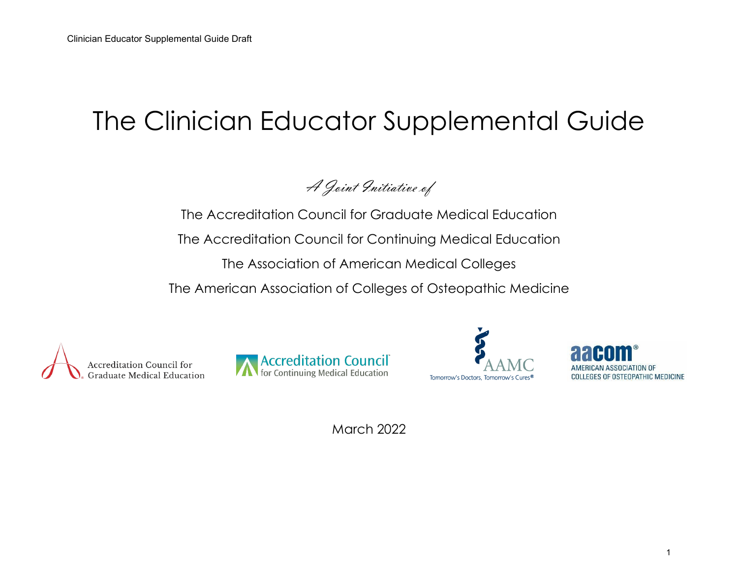# The Clinician Educator Supplemental Guide

A Joint Initiative of

The Accreditation Council for Graduate Medical Education The Accreditation Council for Continuing Medical Education The Association of American Medical Colleges The American Association of Colleges of Osteopathic Medicine









March 2022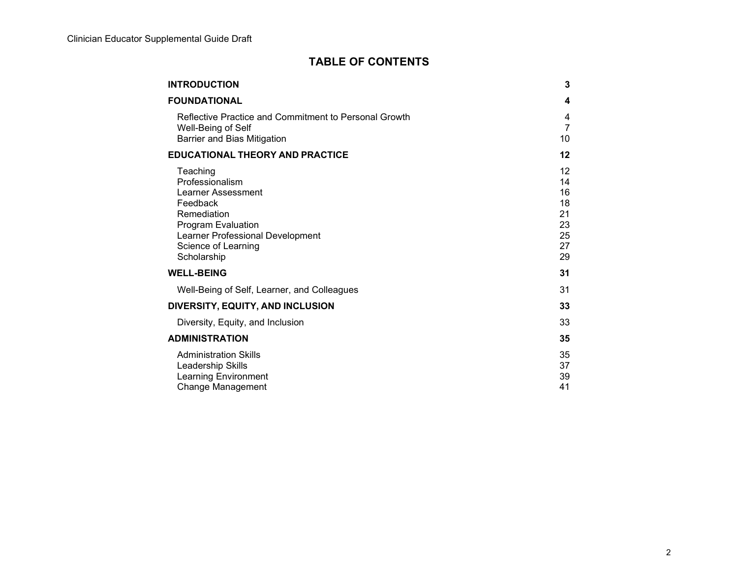## **TABLE OF CONTENTS**

| <b>INTRODUCTION</b>                                                                                                                                                          | 3                                                                 |
|------------------------------------------------------------------------------------------------------------------------------------------------------------------------------|-------------------------------------------------------------------|
| <b>FOUNDATIONAL</b>                                                                                                                                                          | 4                                                                 |
| Reflective Practice and Commitment to Personal Growth<br>Well-Being of Self<br>Barrier and Bias Mitigation                                                                   | 4<br>7<br>10                                                      |
| <b>EDUCATIONAL THEORY AND PRACTICE</b>                                                                                                                                       | 12                                                                |
| Teaching<br>Professionalism<br>Learner Assessment<br>Feedback<br>Remediation<br>Program Evaluation<br>Learner Professional Development<br>Science of Learning<br>Scholarship | $12 \overline{ }$<br>14<br>16<br>18<br>21<br>23<br>25<br>27<br>29 |
| <b>WELL-BEING</b>                                                                                                                                                            | 31                                                                |
| Well-Being of Self, Learner, and Colleagues                                                                                                                                  | 31                                                                |
| DIVERSITY, EQUITY, AND INCLUSION                                                                                                                                             | 33                                                                |
| Diversity, Equity, and Inclusion                                                                                                                                             | 33                                                                |
| <b>ADMINISTRATION</b>                                                                                                                                                        | 35                                                                |
| <b>Administration Skills</b><br>Leadership Skills<br><b>Learning Environment</b><br>Change Management                                                                        | 35<br>37<br>39<br>41                                              |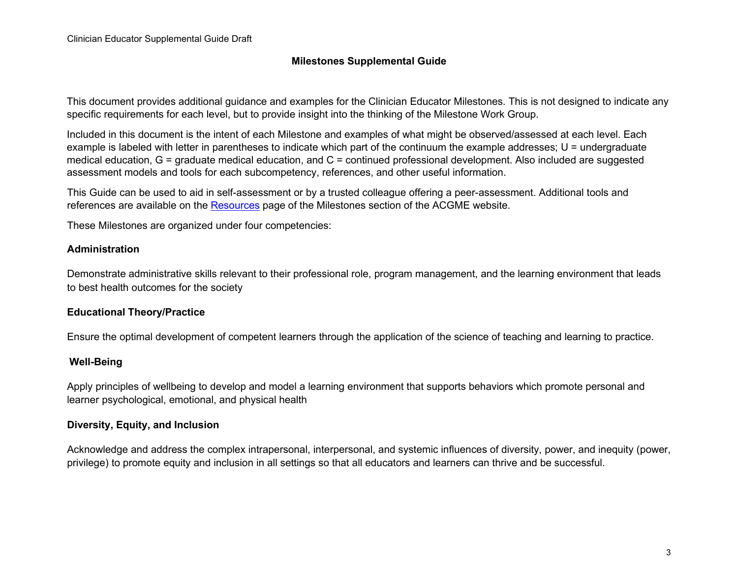#### **Milestones Supplemental Guide**

This document provides additional guidance and examples for the Clinician Educator Milestones. This is not designed to indicate any specific requirements for each level, but to provide insight into the thinking of the Milestone Work Group.

Included in this document is the intent of each Milestone and examples of what might be observed/assessed at each level. Each example is labeled with letter in parentheses to indicate which part of the continuum the example addresses; U = undergraduate medical education, G = graduate medical education, and C = continued professional development. Also included are suggested assessment models and tools for each subcompetency, references, and other useful information.

This Guide can be used to aid in self-assessment or by a trusted colleague offering a peer-assessment. Additional tools and references are available on the [Resources](https://www.acgme.org/What-We-Do/Accreditation/Milestones/Resources) page of the Milestones section of the ACGME website.

These Milestones are organized under four competencies:

#### **Administration**

Demonstrate administrative skills relevant to their professional role, program management, and the learning environment that leads to best health outcomes for the society

#### **Educational Theory/Practice**

Ensure the optimal development of competent learners through the application of the science of teaching and learning to practice.

#### **Well-Being**

Apply principles of wellbeing to develop and model a learning environment that supports behaviors which promote personal and learner psychological, emotional, and physical health

#### **Diversity, Equity, and Inclusion**

Acknowledge and address the complex intrapersonal, interpersonal, and systemic influences of diversity, power, and inequity (power, privilege) to promote equity and inclusion in all settings so that all educators and learners can thrive and be successful.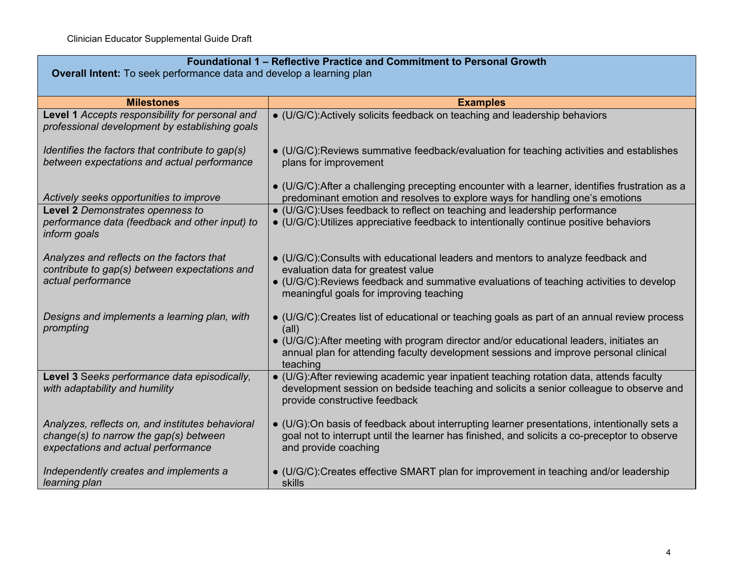| Foundational 1 - Reflective Practice and Commitment to Personal Growth<br><b>Overall Intent:</b> To seek performance data and develop a learning plan |                                                                                                                                                                                                                                                                                                             |
|-------------------------------------------------------------------------------------------------------------------------------------------------------|-------------------------------------------------------------------------------------------------------------------------------------------------------------------------------------------------------------------------------------------------------------------------------------------------------------|
|                                                                                                                                                       |                                                                                                                                                                                                                                                                                                             |
| <b>Milestones</b>                                                                                                                                     | <b>Examples</b>                                                                                                                                                                                                                                                                                             |
| Level 1 Accepts responsibility for personal and<br>professional development by establishing goals                                                     | • (U/G/C): Actively solicits feedback on teaching and leadership behaviors                                                                                                                                                                                                                                  |
| Identifies the factors that contribute to gap(s)<br>between expectations and actual performance                                                       | • (U/G/C):Reviews summative feedback/evaluation for teaching activities and establishes<br>plans for improvement                                                                                                                                                                                            |
| Actively seeks opportunities to improve                                                                                                               | $\bullet$ (U/G/C): After a challenging precepting encounter with a learner, identifies frustration as a<br>predominant emotion and resolves to explore ways for handling one's emotions                                                                                                                     |
| Level 2 Demonstrates openness to<br>performance data (feedback and other input) to<br>inform goals                                                    | • (U/G/C):Uses feedback to reflect on teaching and leadership performance<br>• (U/G/C): Utilizes appreciative feedback to intentionally continue positive behaviors                                                                                                                                         |
| Analyzes and reflects on the factors that<br>contribute to gap(s) between expectations and<br>actual performance                                      | • (U/G/C):Consults with educational leaders and mentors to analyze feedback and<br>evaluation data for greatest value<br>• (U/G/C):Reviews feedback and summative evaluations of teaching activities to develop<br>meaningful goals for improving teaching                                                  |
| Designs and implements a learning plan, with<br>prompting                                                                                             | $\bullet$ (U/G/C):Creates list of educational or teaching goals as part of an annual review process<br>(all)<br>• (U/G/C): After meeting with program director and/or educational leaders, initiates an<br>annual plan for attending faculty development sessions and improve personal clinical<br>teaching |
| Level 3 Seeks performance data episodically,<br>with adaptability and humility                                                                        | $\bullet$ (U/G): After reviewing academic year inpatient teaching rotation data, attends faculty<br>development session on bedside teaching and solicits a senior colleague to observe and<br>provide constructive feedback                                                                                 |
| Analyzes, reflects on, and institutes behavioral<br>$change(s)$ to narrow the gap(s) between<br>expectations and actual performance                   | • (U/G):On basis of feedback about interrupting learner presentations, intentionally sets a<br>goal not to interrupt until the learner has finished, and solicits a co-preceptor to observe<br>and provide coaching                                                                                         |
| Independently creates and implements a<br>learning plan                                                                                               | • (U/G/C):Creates effective SMART plan for improvement in teaching and/or leadership<br>skills                                                                                                                                                                                                              |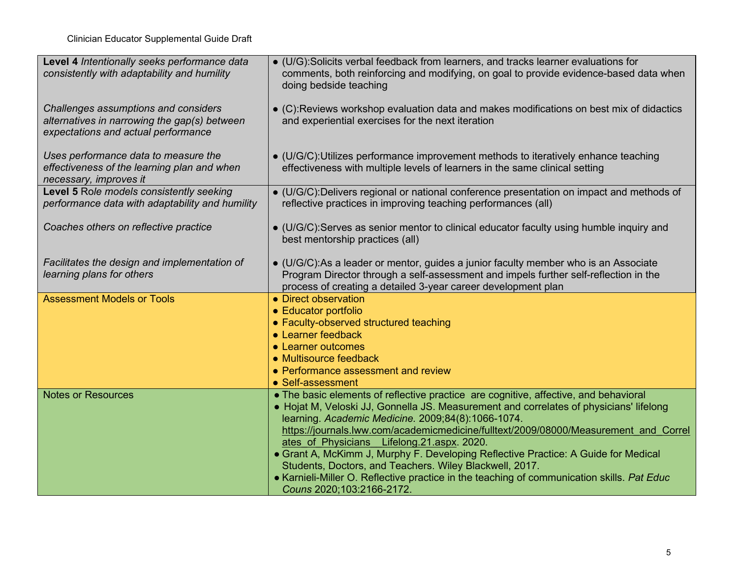| Level 4 Intentionally seeks performance data<br>consistently with adaptability and humility                                 | • (U/G):Solicits verbal feedback from learners, and tracks learner evaluations for<br>comments, both reinforcing and modifying, on goal to provide evidence-based data when<br>doing bedside teaching                                                |
|-----------------------------------------------------------------------------------------------------------------------------|------------------------------------------------------------------------------------------------------------------------------------------------------------------------------------------------------------------------------------------------------|
| Challenges assumptions and considers<br>alternatives in narrowing the gap(s) between<br>expectations and actual performance | • (C):Reviews workshop evaluation data and makes modifications on best mix of didactics<br>and experiential exercises for the next iteration                                                                                                         |
| Uses performance data to measure the<br>effectiveness of the learning plan and when<br>necessary, improves it               | • (U/G/C): Utilizes performance improvement methods to iteratively enhance teaching<br>effectiveness with multiple levels of learners in the same clinical setting                                                                                   |
| Level 5 Role models consistently seeking<br>performance data with adaptability and humility                                 | • (U/G/C):Delivers regional or national conference presentation on impact and methods of<br>reflective practices in improving teaching performances (all)                                                                                            |
| Coaches others on reflective practice                                                                                       | • (U/G/C):Serves as senior mentor to clinical educator faculty using humble inquiry and<br>best mentorship practices (all)                                                                                                                           |
| Facilitates the design and implementation of<br>learning plans for others                                                   | $\bullet$ (U/G/C):As a leader or mentor, guides a junior faculty member who is an Associate<br>Program Director through a self-assessment and impels further self-reflection in the<br>process of creating a detailed 3-year career development plan |
| <b>Assessment Models or Tools</b>                                                                                           | • Direct observation<br>• Educator portfolio                                                                                                                                                                                                         |
|                                                                                                                             | • Faculty-observed structured teaching                                                                                                                                                                                                               |
|                                                                                                                             | • Learner feedback                                                                                                                                                                                                                                   |
|                                                                                                                             | • Learner outcomes                                                                                                                                                                                                                                   |
|                                                                                                                             | • Multisource feedback<br>• Performance assessment and review                                                                                                                                                                                        |
|                                                                                                                             | • Self-assessment                                                                                                                                                                                                                                    |
| <b>Notes or Resources</b>                                                                                                   | • The basic elements of reflective practice are cognitive, affective, and behavioral                                                                                                                                                                 |
|                                                                                                                             | • Hojat M, Veloski JJ, Gonnella JS. Measurement and correlates of physicians' lifelong                                                                                                                                                               |
|                                                                                                                             | learning. Academic Medicine. 2009;84(8):1066-1074.<br>https://journals.lww.com/academicmedicine/fulltext/2009/08000/Measurement and Correl                                                                                                           |
|                                                                                                                             | ates of Physicians Lifelong.21.aspx. 2020.                                                                                                                                                                                                           |
|                                                                                                                             | • Grant A, McKimm J, Murphy F. Developing Reflective Practice: A Guide for Medical                                                                                                                                                                   |
|                                                                                                                             | Students, Doctors, and Teachers. Wiley Blackwell, 2017.                                                                                                                                                                                              |
|                                                                                                                             | • Karnieli-Miller O. Reflective practice in the teaching of communication skills. Pat Educ<br>Couns 2020;103:2166-2172.                                                                                                                              |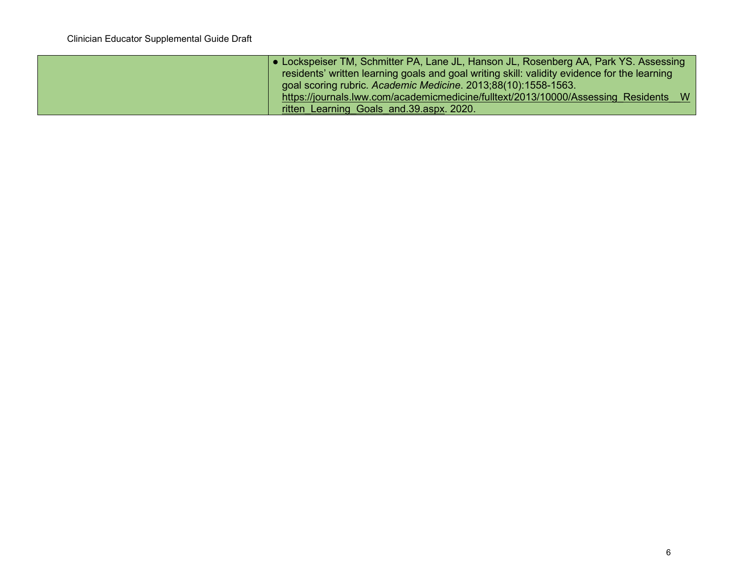| • Lockspeiser TM, Schmitter PA, Lane JL, Hanson JL, Rosenberg AA, Park YS. Assessing         |
|----------------------------------------------------------------------------------------------|
| residents' written learning goals and goal writing skill: validity evidence for the learning |
| goal scoring rubric. Academic Medicine. 2013;88(10):1558-1563.                               |
| https://journals.lww.com/academicmedicine/fulltext/2013/10000/Assessing Residents            |
| ritten Learning Goals and 39 aspx. 2020.                                                     |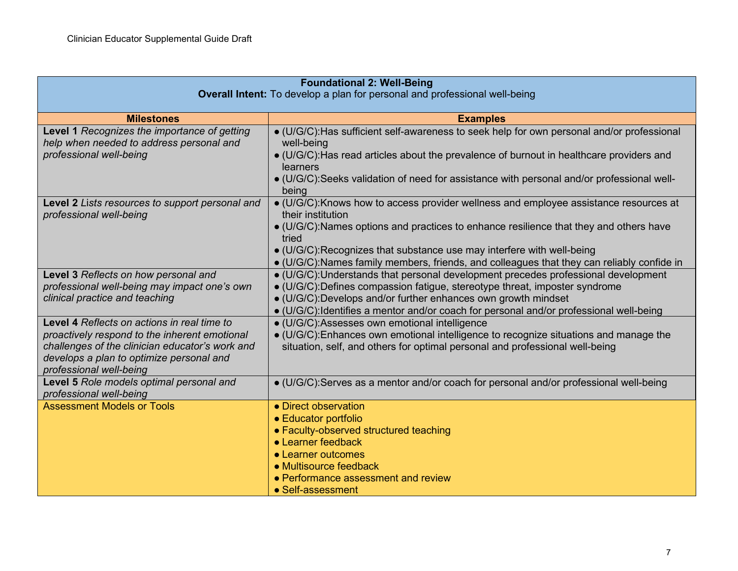| <b>Foundational 2: Well-Being</b>                                          |                                                                                                      |
|----------------------------------------------------------------------------|------------------------------------------------------------------------------------------------------|
| Overall Intent: To develop a plan for personal and professional well-being |                                                                                                      |
|                                                                            |                                                                                                      |
| <b>Milestones</b>                                                          | <b>Examples</b>                                                                                      |
| Level 1 Recognizes the importance of getting                               | • (U/G/C): Has sufficient self-awareness to seek help for own personal and/or professional           |
| help when needed to address personal and                                   | well-being                                                                                           |
| professional well-being                                                    | • (U/G/C): Has read articles about the prevalence of burnout in healthcare providers and<br>learners |
|                                                                            | • (U/G/C):Seeks validation of need for assistance with personal and/or professional well-<br>being   |
| Level 2 Lists resources to support personal and                            | · (U/G/C): Knows how to access provider wellness and employee assistance resources at                |
| professional well-being                                                    | their institution                                                                                    |
|                                                                            | • (U/G/C): Names options and practices to enhance resilience that they and others have<br>tried      |
|                                                                            | • (U/G/C): Recognizes that substance use may interfere with well-being                               |
|                                                                            | • (U/G/C): Names family members, friends, and colleagues that they can reliably confide in           |
| Level 3 Reflects on how personal and                                       | • (U/G/C): Understands that personal development precedes professional development                   |
| professional well-being may impact one's own                               | • (U/G/C): Defines compassion fatigue, stereotype threat, imposter syndrome                          |
| clinical practice and teaching                                             | • (U/G/C):Develops and/or further enhances own growth mindset                                        |
|                                                                            | • (U/G/C): Identifies a mentor and/or coach for personal and/or professional well-being              |
| Level 4 Reflects on actions in real time to                                | · (U/G/C):Assesses own emotional intelligence                                                        |
| proactively respond to the inherent emotional                              | · (U/G/C): Enhances own emotional intelligence to recognize situations and manage the                |
| challenges of the clinician educator's work and                            | situation, self, and others for optimal personal and professional well-being                         |
| develops a plan to optimize personal and                                   |                                                                                                      |
| professional well-being                                                    |                                                                                                      |
| Level 5 Role models optimal personal and<br>professional well-being        | • (U/G/C): Serves as a mentor and/or coach for personal and/or professional well-being               |
| <b>Assessment Models or Tools</b>                                          | • Direct observation                                                                                 |
|                                                                            | • Educator portfolio                                                                                 |
|                                                                            | • Faculty-observed structured teaching                                                               |
|                                                                            | • Learner feedback                                                                                   |
|                                                                            | • Learner outcomes                                                                                   |
|                                                                            | • Multisource feedback                                                                               |
|                                                                            | • Performance assessment and review                                                                  |
|                                                                            | • Self-assessment                                                                                    |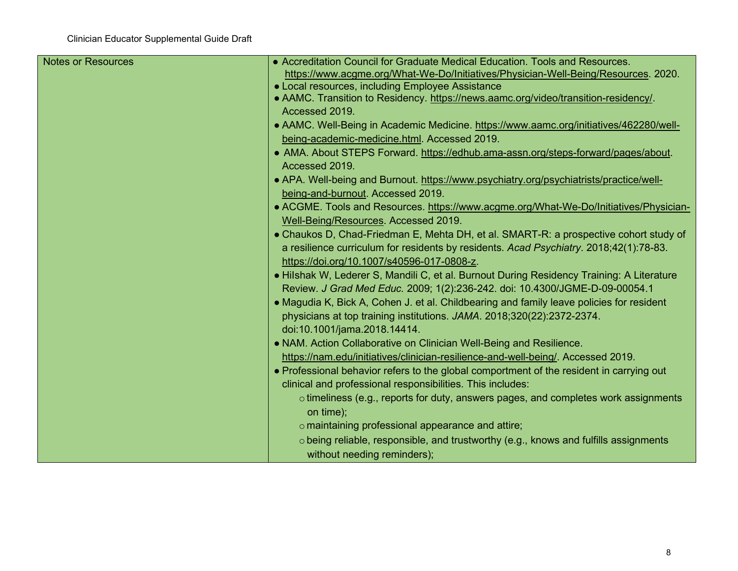| <b>Notes or Resources</b> | • Accreditation Council for Graduate Medical Education. Tools and Resources.               |
|---------------------------|--------------------------------------------------------------------------------------------|
|                           | https://www.acgme.org/What-We-Do/Initiatives/Physician-Well-Being/Resources. 2020.         |
|                           | • Local resources, including Employee Assistance                                           |
|                           | • AAMC. Transition to Residency. https://news.aamc.org/video/transition-residency/.        |
|                           | Accessed 2019.                                                                             |
|                           | • AAMC. Well-Being in Academic Medicine. https://www.aamc.org/initiatives/462280/well-     |
|                           | being-academic-medicine.html. Accessed 2019.                                               |
|                           | • AMA. About STEPS Forward. https://edhub.ama-assn.org/steps-forward/pages/about.          |
|                           | Accessed 2019.                                                                             |
|                           | • APA. Well-being and Burnout. https://www.psychiatry.org/psychiatrists/practice/well-     |
|                           | being-and-burnout. Accessed 2019.                                                          |
|                           | • ACGME. Tools and Resources. https://www.acgme.org/What-We-Do/Initiatives/Physician-      |
|                           | Well-Being/Resources. Accessed 2019.                                                       |
|                           | • Chaukos D, Chad-Friedman E, Mehta DH, et al. SMART-R: a prospective cohort study of      |
|                           | a resilience curriculum for residents by residents. Acad Psychiatry. 2018;42(1):78-83.     |
|                           | https://doi.org/10.1007/s40596-017-0808-z.                                                 |
|                           | · Hilshak W, Lederer S, Mandili C, et al. Burnout During Residency Training: A Literature  |
|                           | Review. J Grad Med Educ. 2009; 1(2):236-242. doi: 10.4300/JGME-D-09-00054.1                |
|                           | • Magudia K, Bick A, Cohen J. et al. Childbearing and family leave policies for resident   |
|                           | physicians at top training institutions. JAMA. 2018;320(22):2372-2374.                     |
|                           | doi:10.1001/jama.2018.14414.                                                               |
|                           | • NAM. Action Collaborative on Clinician Well-Being and Resilience.                        |
|                           | https://nam.edu/initiatives/clinician-resilience-and-well-being/. Accessed 2019.           |
|                           | • Professional behavior refers to the global comportment of the resident in carrying out   |
|                           | clinical and professional responsibilities. This includes:                                 |
|                           | $\circ$ timeliness (e.g., reports for duty, answers pages, and completes work assignments  |
|                           | on time);                                                                                  |
|                           | $\circ$ maintaining professional appearance and attire;                                    |
|                           | $\circ$ being reliable, responsible, and trustworthy (e.g., knows and fulfills assignments |
|                           | without needing reminders);                                                                |
|                           |                                                                                            |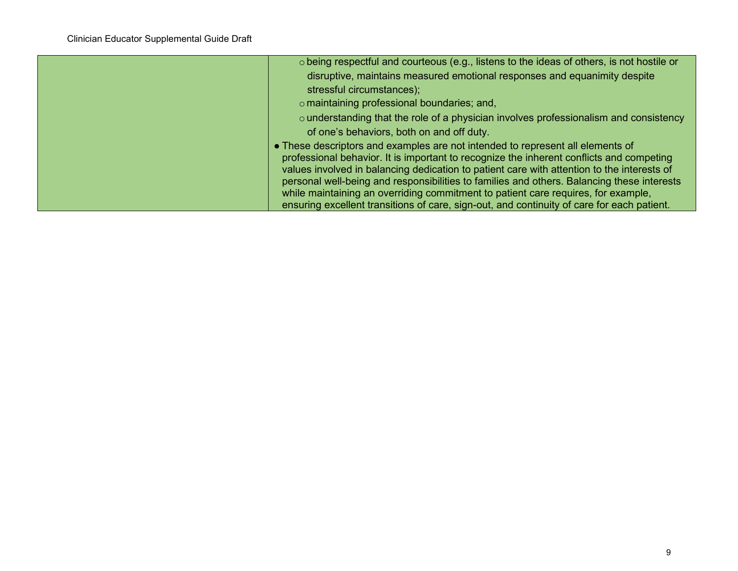| o being respectful and courteous (e.g., listens to the ideas of others, is not hostile or                                                                                                                                                                                                                                                                                                                                                                                                                                                                 |
|-----------------------------------------------------------------------------------------------------------------------------------------------------------------------------------------------------------------------------------------------------------------------------------------------------------------------------------------------------------------------------------------------------------------------------------------------------------------------------------------------------------------------------------------------------------|
| disruptive, maintains measured emotional responses and equanimity despite                                                                                                                                                                                                                                                                                                                                                                                                                                                                                 |
| stressful circumstances);                                                                                                                                                                                                                                                                                                                                                                                                                                                                                                                                 |
| o maintaining professional boundaries; and,                                                                                                                                                                                                                                                                                                                                                                                                                                                                                                               |
| $\circ$ understanding that the role of a physician involves professionalism and consistency                                                                                                                                                                                                                                                                                                                                                                                                                                                               |
| of one's behaviors, both on and off duty.                                                                                                                                                                                                                                                                                                                                                                                                                                                                                                                 |
| • These descriptors and examples are not intended to represent all elements of<br>professional behavior. It is important to recognize the inherent conflicts and competing<br>values involved in balancing dedication to patient care with attention to the interests of<br>personal well-being and responsibilities to families and others. Balancing these interests<br>while maintaining an overriding commitment to patient care requires, for example,<br>ensuring excellent transitions of care, sign-out, and continuity of care for each patient. |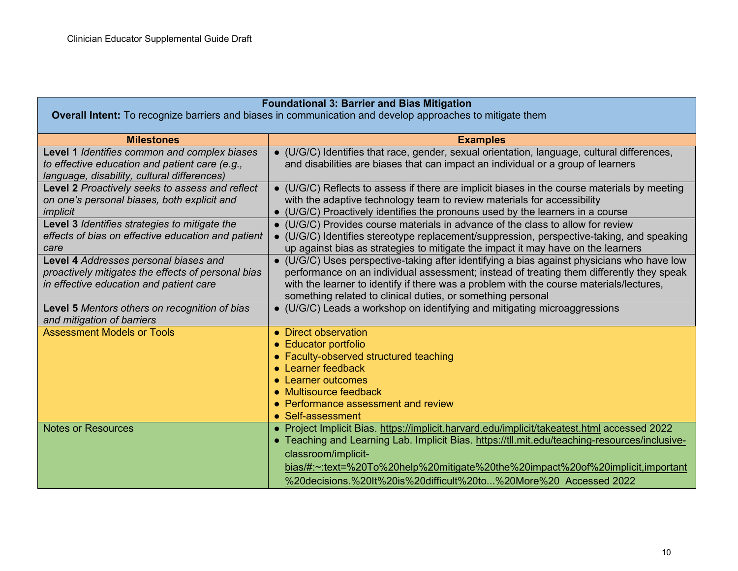#### **Foundational 3: Barrier and Bias Mitigation**

**Overall Intent:** To recognize barriers and biases in communication and develop approaches to mitigate them

| <b>Milestones</b>                                                                                                                             | <b>Examples</b>                                                                                                                                                                                                                                                                                                                                                           |
|-----------------------------------------------------------------------------------------------------------------------------------------------|---------------------------------------------------------------------------------------------------------------------------------------------------------------------------------------------------------------------------------------------------------------------------------------------------------------------------------------------------------------------------|
| Level 1 Identifies common and complex biases<br>to effective education and patient care (e.g.,<br>language, disability, cultural differences) | • (U/G/C) Identifies that race, gender, sexual orientation, language, cultural differences,<br>and disabilities are biases that can impact an individual or a group of learners                                                                                                                                                                                           |
| Level 2 Proactively seeks to assess and reflect<br>on one's personal biases, both explicit and<br>implicit                                    | • (U/G/C) Reflects to assess if there are implicit biases in the course materials by meeting<br>with the adaptive technology team to review materials for accessibility<br>• (U/G/C) Proactively identifies the pronouns used by the learners in a course                                                                                                                 |
| Level 3 Identifies strategies to mitigate the<br>effects of bias on effective education and patient<br>care                                   | • (U/G/C) Provides course materials in advance of the class to allow for review<br>• (U/G/C) Identifies stereotype replacement/suppression, perspective-taking, and speaking<br>up against bias as strategies to mitigate the impact it may have on the learners                                                                                                          |
| Level 4 Addresses personal biases and<br>proactively mitigates the effects of personal bias<br>in effective education and patient care        | • (U/G/C) Uses perspective-taking after identifying a bias against physicians who have low<br>performance on an individual assessment; instead of treating them differently they speak<br>with the learner to identify if there was a problem with the course materials/lectures,<br>something related to clinical duties, or something personal                          |
| <b>Level 5</b> Mentors others on recognition of bias<br>and mitigation of barriers                                                            | • (U/G/C) Leads a workshop on identifying and mitigating microaggressions                                                                                                                                                                                                                                                                                                 |
| <b>Assessment Models or Tools</b>                                                                                                             | • Direct observation<br>• Educator portfolio<br>• Faculty-observed structured teaching<br>• Learner feedback<br>• Learner outcomes<br>• Multisource feedback<br>• Performance assessment and review<br>• Self-assessment                                                                                                                                                  |
| <b>Notes or Resources</b>                                                                                                                     | • Project Implicit Bias. https://implicit.harvard.edu/implicit/takeatest.html accessed 2022<br>• Teaching and Learning Lab. Implicit Bias. https://tll.mit.edu/teaching-resources/inclusive-<br>classroom/implicit-<br>bias/#:~:text=%20To%20help%20mitigate%20the%20impact%20of%20implicit,important<br>%20decisions.%20lt%20is%20difficult%20to%20More%20 Accessed 2022 |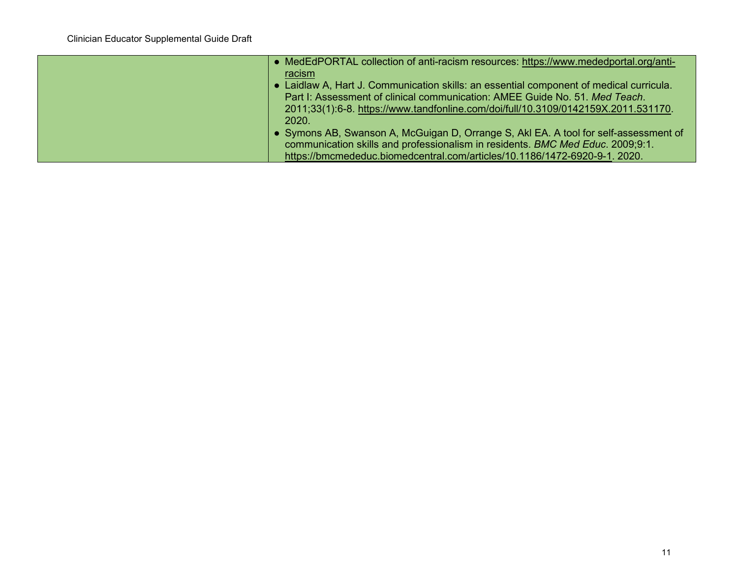| • MedEdPORTAL collection of anti-racism resources: https://www.mededportal.org/anti-    |
|-----------------------------------------------------------------------------------------|
| racism                                                                                  |
| • Laidlaw A, Hart J. Communication skills: an essential component of medical curricula. |
| Part I: Assessment of clinical communication: AMEE Guide No. 51. Med Teach.             |
| 2011;33(1):6-8. https://www.tandfonline.com/doi/full/10.3109/0142159X.2011.531170.      |
| 2020.                                                                                   |
| • Symons AB, Swanson A, McGuigan D, Orrange S, Akl EA. A tool for self-assessment of    |
| communication skills and professionalism in residents. BMC Med Educ. 2009;9:1.          |
| https://bmcmededuc.biomedcentral.com/articles/10.1186/1472-6920-9-1. 2020.              |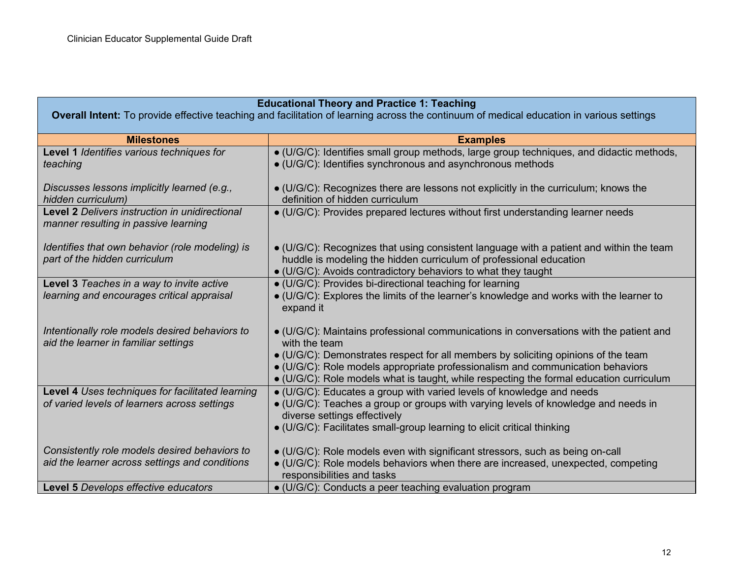## **Educational Theory and Practice 1: Teaching**

**Overall Intent:** To provide effective teaching and facilitation of learning across the continuum of medical education in various settings

| <b>Milestones</b>                                                                      | <b>Examples</b>                                                                                                                                                                                                                |
|----------------------------------------------------------------------------------------|--------------------------------------------------------------------------------------------------------------------------------------------------------------------------------------------------------------------------------|
| Level 1 Identifies various techniques for<br>teaching                                  | • (U/G/C): Identifies small group methods, large group techniques, and didactic methods,<br>• (U/G/C): Identifies synchronous and asynchronous methods                                                                         |
| Discusses lessons implicitly learned (e.g.,<br>hidden curriculum)                      | • (U/G/C): Recognizes there are lessons not explicitly in the curriculum; knows the<br>definition of hidden curriculum                                                                                                         |
| Level 2 Delivers instruction in unidirectional<br>manner resulting in passive learning | • (U/G/C): Provides prepared lectures without first understanding learner needs                                                                                                                                                |
| Identifies that own behavior (role modeling) is<br>part of the hidden curriculum       | • (U/G/C): Recognizes that using consistent language with a patient and within the team<br>huddle is modeling the hidden curriculum of professional education<br>• (U/G/C): Avoids contradictory behaviors to what they taught |
| Level 3 Teaches in a way to invite active                                              | • (U/G/C): Provides bi-directional teaching for learning                                                                                                                                                                       |
| learning and encourages critical appraisal                                             | • (U/G/C): Explores the limits of the learner's knowledge and works with the learner to<br>expand it                                                                                                                           |
| Intentionally role models desired behaviors to<br>aid the learner in familiar settings | • (U/G/C): Maintains professional communications in conversations with the patient and<br>with the team                                                                                                                        |
|                                                                                        | • (U/G/C): Demonstrates respect for all members by soliciting opinions of the team                                                                                                                                             |
|                                                                                        | • (U/G/C): Role models appropriate professionalism and communication behaviors<br>• (U/G/C): Role models what is taught, while respecting the formal education curriculum                                                      |
| Level 4 Uses techniques for facilitated learning                                       | • (U/G/C): Educates a group with varied levels of knowledge and needs                                                                                                                                                          |
| of varied levels of learners across settings                                           | • (U/G/C): Teaches a group or groups with varying levels of knowledge and needs in<br>diverse settings effectively                                                                                                             |
|                                                                                        | • (U/G/C): Facilitates small-group learning to elicit critical thinking                                                                                                                                                        |
| Consistently role models desired behaviors to                                          | • (U/G/C): Role models even with significant stressors, such as being on-call                                                                                                                                                  |
| aid the learner across settings and conditions                                         | • (U/G/C): Role models behaviors when there are increased, unexpected, competing<br>responsibilities and tasks                                                                                                                 |
| Level 5 Develops effective educators                                                   | • (U/G/C): Conducts a peer teaching evaluation program                                                                                                                                                                         |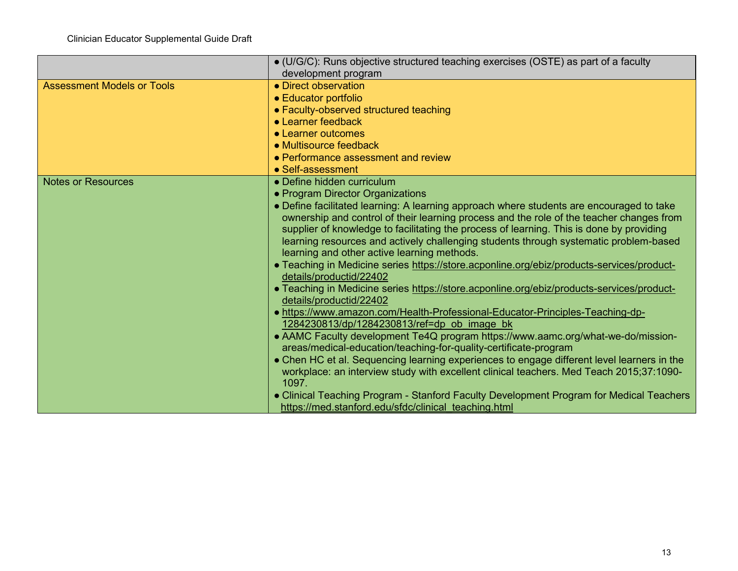|                                   | • (U/G/C): Runs objective structured teaching exercises (OSTE) as part of a faculty        |
|-----------------------------------|--------------------------------------------------------------------------------------------|
|                                   | development program                                                                        |
| <b>Assessment Models or Tools</b> | • Direct observation                                                                       |
|                                   | • Educator portfolio                                                                       |
|                                   | • Faculty-observed structured teaching                                                     |
|                                   | • Learner feedback                                                                         |
|                                   | • Learner outcomes                                                                         |
|                                   | • Multisource feedback                                                                     |
|                                   | • Performance assessment and review                                                        |
|                                   | • Self-assessment                                                                          |
| <b>Notes or Resources</b>         | • Define hidden curriculum                                                                 |
|                                   | • Program Director Organizations                                                           |
|                                   | • Define facilitated learning: A learning approach where students are encouraged to take   |
|                                   | ownership and control of their learning process and the role of the teacher changes from   |
|                                   | supplier of knowledge to facilitating the process of learning. This is done by providing   |
|                                   | learning resources and actively challenging students through systematic problem-based      |
|                                   | learning and other active learning methods.                                                |
|                                   | • Teaching in Medicine series https://store.acponline.org/ebiz/products-services/product-  |
|                                   | details/productid/22402                                                                    |
|                                   | • Teaching in Medicine series https://store.acponline.org/ebiz/products-services/product-  |
|                                   | details/productid/22402                                                                    |
|                                   | . https://www.amazon.com/Health-Professional-Educator-Principles-Teaching-dp-              |
|                                   | 1284230813/dp/1284230813/ref=dp ob image bk                                                |
|                                   | • AAMC Faculty development Te4Q program https://www.aamc.org/what-we-do/mission-           |
|                                   | areas/medical-education/teaching-for-quality-certificate-program                           |
|                                   | • Chen HC et al. Sequencing learning experiences to engage different level learners in the |
|                                   | workplace: an interview study with excellent clinical teachers. Med Teach 2015;37:1090-    |
|                                   | 1097.                                                                                      |
|                                   | • Clinical Teaching Program - Stanford Faculty Development Program for Medical Teachers    |
|                                   | https://med.stanford.edu/sfdc/clinical_teaching.html                                       |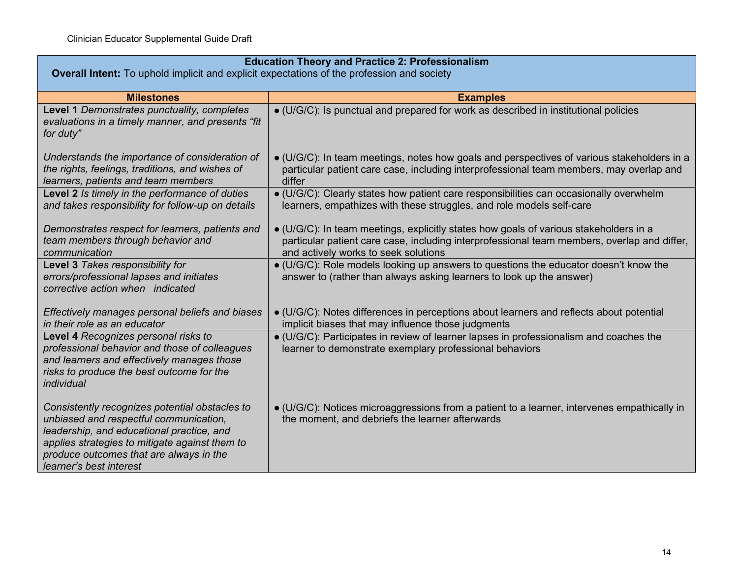| <b>Education Theory and Practice 2: Professionalism</b><br><b>Overall Intent:</b> To uphold implicit and explicit expectations of the profession and society                                                                                                  |                                                                                                                                                                                                                                      |
|---------------------------------------------------------------------------------------------------------------------------------------------------------------------------------------------------------------------------------------------------------------|--------------------------------------------------------------------------------------------------------------------------------------------------------------------------------------------------------------------------------------|
| <b>Milestones</b>                                                                                                                                                                                                                                             | <b>Examples</b>                                                                                                                                                                                                                      |
| Level 1 Demonstrates punctuality, completes<br>evaluations in a timely manner, and presents "fit<br>for duty"                                                                                                                                                 | • (U/G/C): Is punctual and prepared for work as described in institutional policies                                                                                                                                                  |
| Understands the importance of consideration of<br>the rights, feelings, traditions, and wishes of<br>learners, patients and team members                                                                                                                      | • (U/G/C): In team meetings, notes how goals and perspectives of various stakeholders in a<br>particular patient care case, including interprofessional team members, may overlap and<br>differ                                      |
| Level 2 Is timely in the performance of duties<br>and takes responsibility for follow-up on details                                                                                                                                                           | • (U/G/C): Clearly states how patient care responsibilities can occasionally overwhelm<br>learners, empathizes with these struggles, and role models self-care                                                                       |
| Demonstrates respect for learners, patients and<br>team members through behavior and<br>communication                                                                                                                                                         | $\bullet$ (U/G/C): In team meetings, explicitly states how goals of various stakeholders in a<br>particular patient care case, including interprofessional team members, overlap and differ,<br>and actively works to seek solutions |
| Level 3 Takes responsibility for<br>errors/professional lapses and initiates<br>corrective action when indicated                                                                                                                                              | · (U/G/C): Role models looking up answers to questions the educator doesn't know the<br>answer to (rather than always asking learners to look up the answer)                                                                         |
| Effectively manages personal beliefs and biases<br>in their role as an educator                                                                                                                                                                               | $\bullet$ (U/G/C): Notes differences in perceptions about learners and reflects about potential<br>implicit biases that may influence those judgments                                                                                |
| Level 4 Recognizes personal risks to<br>professional behavior and those of colleagues<br>and learners and effectively manages those<br>risks to produce the best outcome for the<br>individual                                                                | · (U/G/C): Participates in review of learner lapses in professionalism and coaches the<br>learner to demonstrate exemplary professional behaviors                                                                                    |
| Consistently recognizes potential obstacles to<br>unbiased and respectful communication,<br>leadership, and educational practice, and<br>applies strategies to mitigate against them to<br>produce outcomes that are always in the<br>learner's best interest | $\bullet$ (U/G/C): Notices microaggressions from a patient to a learner, intervenes empathically in<br>the moment, and debriefs the learner afterwards                                                                               |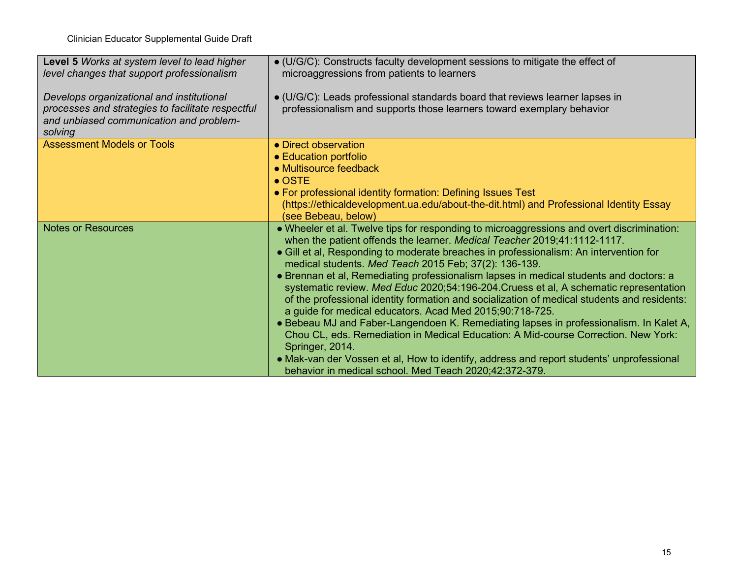| Level 5 Works at system level to lead higher<br>level changes that support professionalism                                                           | • (U/G/C): Constructs faculty development sessions to mitigate the effect of<br>microaggressions from patients to learners                                                                                                                                                                                                                                                                                                                                                                                                                                                                                                                                                                                                                                                                                                                                                                                                                                                                                                     |
|------------------------------------------------------------------------------------------------------------------------------------------------------|--------------------------------------------------------------------------------------------------------------------------------------------------------------------------------------------------------------------------------------------------------------------------------------------------------------------------------------------------------------------------------------------------------------------------------------------------------------------------------------------------------------------------------------------------------------------------------------------------------------------------------------------------------------------------------------------------------------------------------------------------------------------------------------------------------------------------------------------------------------------------------------------------------------------------------------------------------------------------------------------------------------------------------|
| Develops organizational and institutional<br>processes and strategies to facilitate respectful<br>and unbiased communication and problem-<br>solving | · (U/G/C): Leads professional standards board that reviews learner lapses in<br>professionalism and supports those learners toward exemplary behavior                                                                                                                                                                                                                                                                                                                                                                                                                                                                                                                                                                                                                                                                                                                                                                                                                                                                          |
| <b>Assessment Models or Tools</b>                                                                                                                    | • Direct observation<br>• Education portfolio<br>• Multisource feedback<br>$\bullet$ OSTE<br>• For professional identity formation: Defining Issues Test<br>(https://ethicaldevelopment.ua.edu/about-the-dit.html) and Professional Identity Essay<br>(see Bebeau, below)                                                                                                                                                                                                                                                                                                                                                                                                                                                                                                                                                                                                                                                                                                                                                      |
| <b>Notes or Resources</b>                                                                                                                            | . Wheeler et al. Twelve tips for responding to microaggressions and overt discrimination:<br>when the patient offends the learner. Medical Teacher 2019;41:1112-1117.<br>• Gill et al, Responding to moderate breaches in professionalism: An intervention for<br>medical students. Med Teach 2015 Feb; 37(2): 136-139.<br>• Brennan et al, Remediating professionalism lapses in medical students and doctors: a<br>systematic review. Med Educ 2020;54:196-204. Cruess et al, A schematic representation<br>of the professional identity formation and socialization of medical students and residents:<br>a guide for medical educators. Acad Med 2015;90:718-725.<br>• Bebeau MJ and Faber-Langendoen K. Remediating lapses in professionalism. In Kalet A,<br>Chou CL, eds. Remediation in Medical Education: A Mid-course Correction. New York:<br>Springer, 2014.<br>• Mak-van der Vossen et al, How to identify, address and report students' unprofessional<br>behavior in medical school. Med Teach 2020;42:372-379. |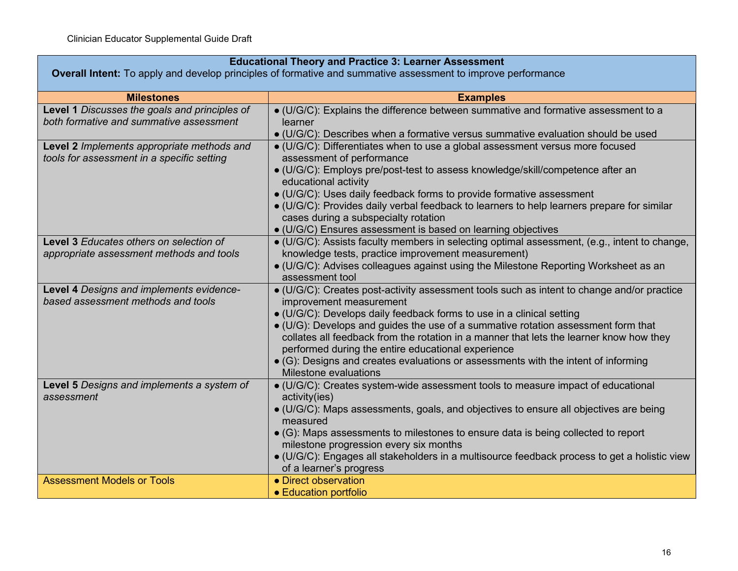| <b>Educational Theory and Practice 3: Learner Assessment</b>                                                 |                                                                                                                                                                                                                                                                                                                                                                                                                                                                                                                                                     |
|--------------------------------------------------------------------------------------------------------------|-----------------------------------------------------------------------------------------------------------------------------------------------------------------------------------------------------------------------------------------------------------------------------------------------------------------------------------------------------------------------------------------------------------------------------------------------------------------------------------------------------------------------------------------------------|
| Overall Intent: To apply and develop principles of formative and summative assessment to improve performance |                                                                                                                                                                                                                                                                                                                                                                                                                                                                                                                                                     |
| <b>Milestones</b>                                                                                            | <b>Examples</b>                                                                                                                                                                                                                                                                                                                                                                                                                                                                                                                                     |
| Level 1 Discusses the goals and principles of<br>both formative and summative assessment                     | · (U/G/C): Explains the difference between summative and formative assessment to a<br>learner<br>$\bullet$ (U/G/C): Describes when a formative versus summative evaluation should be used                                                                                                                                                                                                                                                                                                                                                           |
| Level 2 Implements appropriate methods and<br>tools for assessment in a specific setting                     | • (U/G/C): Differentiates when to use a global assessment versus more focused<br>assessment of performance<br>• (U/G/C): Employs pre/post-test to assess knowledge/skill/competence after an<br>educational activity<br>• (U/G/C): Uses daily feedback forms to provide formative assessment<br>• (U/G/C): Provides daily verbal feedback to learners to help learners prepare for similar<br>cases during a subspecialty rotation                                                                                                                  |
|                                                                                                              | • (U/G/C) Ensures assessment is based on learning objectives                                                                                                                                                                                                                                                                                                                                                                                                                                                                                        |
| <b>Level 3 Educates others on selection of</b><br>appropriate assessment methods and tools                   | • (U/G/C): Assists faculty members in selecting optimal assessment, (e.g., intent to change,<br>knowledge tests, practice improvement measurement)<br>• (U/G/C): Advises colleagues against using the Milestone Reporting Worksheet as an<br>assessment tool                                                                                                                                                                                                                                                                                        |
| Level 4 Designs and implements evidence-<br>based assessment methods and tools                               | · (U/G/C): Creates post-activity assessment tools such as intent to change and/or practice<br>improvement measurement<br>· (U/G/C): Develops daily feedback forms to use in a clinical setting<br>• (U/G): Develops and guides the use of a summative rotation assessment form that<br>collates all feedback from the rotation in a manner that lets the learner know how they<br>performed during the entire educational experience<br>• (G): Designs and creates evaluations or assessments with the intent of informing<br>Milestone evaluations |
| Level 5 Designs and implements a system of<br>assessment                                                     | · (U/G/C): Creates system-wide assessment tools to measure impact of educational<br>activity(ies)<br>• (U/G/C): Maps assessments, goals, and objectives to ensure all objectives are being<br>measured<br>• (G): Maps assessments to milestones to ensure data is being collected to report<br>milestone progression every six months<br>• (U/G/C): Engages all stakeholders in a multisource feedback process to get a holistic view<br>of a learner's progress                                                                                    |
| <b>Assessment Models or Tools</b>                                                                            | • Direct observation<br>• Education portfolio                                                                                                                                                                                                                                                                                                                                                                                                                                                                                                       |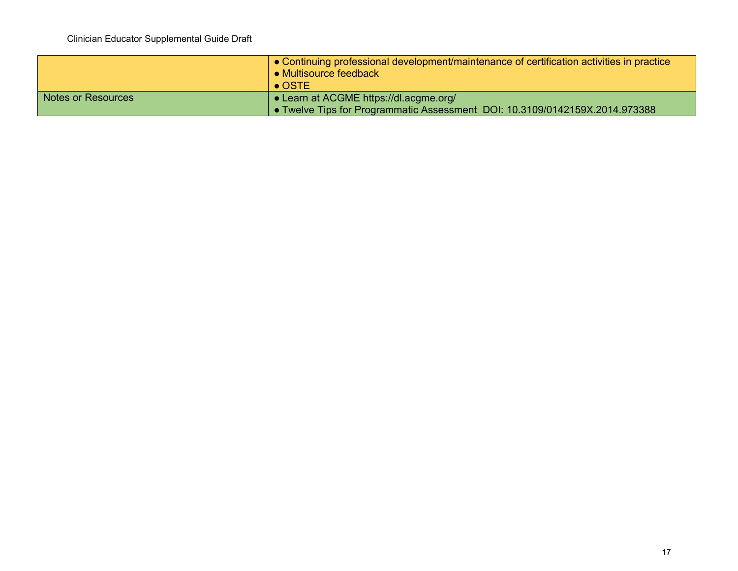|                    | • Continuing professional development/maintenance of certification activities in practice<br>$\bullet$ Multisource feedback<br>$\bullet$ OSTE |
|--------------------|-----------------------------------------------------------------------------------------------------------------------------------------------|
| Notes or Resources | • Learn at ACGME https://dl.acgme.org/                                                                                                        |
|                    | • Twelve Tips for Programmatic Assessment DOI: 10.3109/0142159X.2014.973388                                                                   |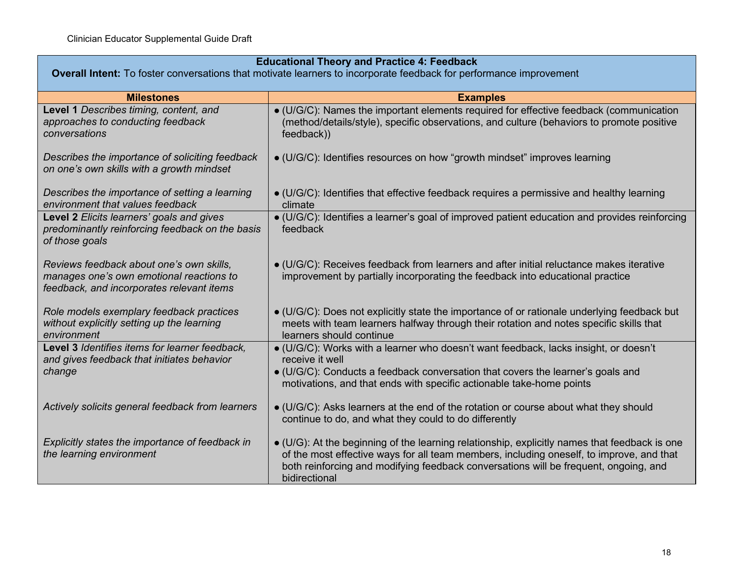| <b>Educational Theory and Practice 4: Feedback</b><br>Overall Intent: To foster conversations that motivate learners to incorporate feedback for performance improvement |                                                                                                                                                                                                                                                                                                    |
|--------------------------------------------------------------------------------------------------------------------------------------------------------------------------|----------------------------------------------------------------------------------------------------------------------------------------------------------------------------------------------------------------------------------------------------------------------------------------------------|
| <b>Milestones</b>                                                                                                                                                        | <b>Examples</b>                                                                                                                                                                                                                                                                                    |
| Level 1 Describes timing, content, and<br>approaches to conducting feedback<br>conversations                                                                             | • (U/G/C): Names the important elements required for effective feedback (communication<br>(method/details/style), specific observations, and culture (behaviors to promote positive<br>feedback))                                                                                                  |
| Describes the importance of soliciting feedback<br>on one's own skills with a growth mindset                                                                             | • (U/G/C): Identifies resources on how "growth mindset" improves learning                                                                                                                                                                                                                          |
| Describes the importance of setting a learning<br>environment that values feedback                                                                                       | • (U/G/C): Identifies that effective feedback requires a permissive and healthy learning<br>climate                                                                                                                                                                                                |
| Level 2 Elicits learners' goals and gives<br>predominantly reinforcing feedback on the basis<br>of those goals                                                           | • (U/G/C): Identifies a learner's goal of improved patient education and provides reinforcing<br>feedback                                                                                                                                                                                          |
| Reviews feedback about one's own skills,<br>manages one's own emotional reactions to<br>feedback, and incorporates relevant items                                        | • (U/G/C): Receives feedback from learners and after initial reluctance makes iterative<br>improvement by partially incorporating the feedback into educational practice                                                                                                                           |
| Role models exemplary feedback practices<br>without explicitly setting up the learning<br>environment                                                                    | • (U/G/C): Does not explicitly state the importance of or rationale underlying feedback but<br>meets with team learners halfway through their rotation and notes specific skills that<br>learners should continue                                                                                  |
| Level 3 Identifies items for learner feedback,<br>and gives feedback that initiates behavior<br>change                                                                   | • (U/G/C): Works with a learner who doesn't want feedback, lacks insight, or doesn't<br>receive it well<br>• (U/G/C): Conducts a feedback conversation that covers the learner's goals and<br>motivations, and that ends with specific actionable take-home points                                 |
| Actively solicits general feedback from learners                                                                                                                         | • (U/G/C): Asks learners at the end of the rotation or course about what they should<br>continue to do, and what they could to do differently                                                                                                                                                      |
| Explicitly states the importance of feedback in<br>the learning environment                                                                                              | • (U/G): At the beginning of the learning relationship, explicitly names that feedback is one<br>of the most effective ways for all team members, including oneself, to improve, and that<br>both reinforcing and modifying feedback conversations will be frequent, ongoing, and<br>bidirectional |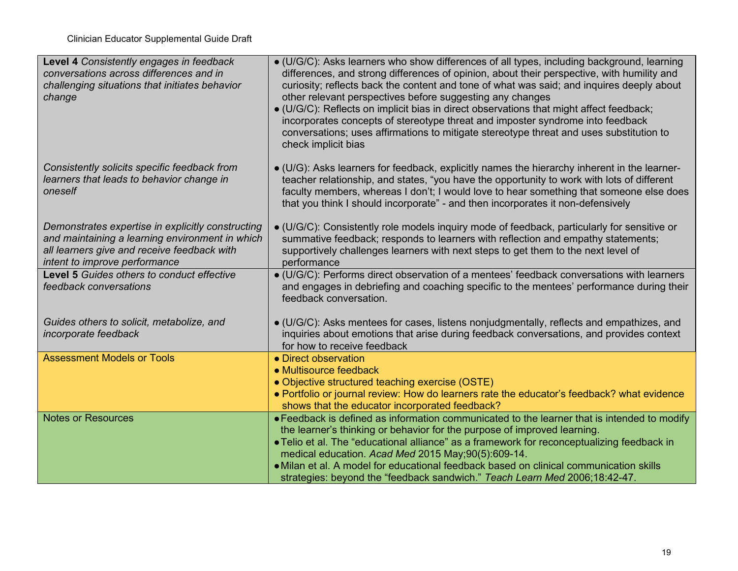| Level 4 Consistently engages in feedback<br>conversations across differences and in<br>challenging situations that initiates behavior<br>change                                      | $\bullet$ (U/G/C): Asks learners who show differences of all types, including background, learning<br>differences, and strong differences of opinion, about their perspective, with humility and<br>curiosity; reflects back the content and tone of what was said; and inquires deeply about<br>other relevant perspectives before suggesting any changes<br>• (U/G/C): Reflects on implicit bias in direct observations that might affect feedback;<br>incorporates concepts of stereotype threat and imposter syndrome into feedback<br>conversations; uses affirmations to mitigate stereotype threat and uses substitution to<br>check implicit bias |
|--------------------------------------------------------------------------------------------------------------------------------------------------------------------------------------|-----------------------------------------------------------------------------------------------------------------------------------------------------------------------------------------------------------------------------------------------------------------------------------------------------------------------------------------------------------------------------------------------------------------------------------------------------------------------------------------------------------------------------------------------------------------------------------------------------------------------------------------------------------|
| Consistently solicits specific feedback from<br>learners that leads to behavior change in<br>oneself                                                                                 | • (U/G): Asks learners for feedback, explicitly names the hierarchy inherent in the learner-<br>teacher relationship, and states, "you have the opportunity to work with lots of different<br>faculty members, whereas I don't; I would love to hear something that someone else does<br>that you think I should incorporate" - and then incorporates it non-defensively                                                                                                                                                                                                                                                                                  |
| Demonstrates expertise in explicitly constructing<br>and maintaining a learning environment in which<br>all learners give and receive feedback with<br>intent to improve performance | • (U/G/C): Consistently role models inquiry mode of feedback, particularly for sensitive or<br>summative feedback; responds to learners with reflection and empathy statements;<br>supportively challenges learners with next steps to get them to the next level of<br>performance                                                                                                                                                                                                                                                                                                                                                                       |
| Level 5 Guides others to conduct effective<br>feedback conversations                                                                                                                 | • (U/G/C): Performs direct observation of a mentees' feedback conversations with learners<br>and engages in debriefing and coaching specific to the mentees' performance during their<br>feedback conversation.                                                                                                                                                                                                                                                                                                                                                                                                                                           |
| Guides others to solicit, metabolize, and<br>incorporate feedback                                                                                                                    | $\bullet$ (U/G/C): Asks mentees for cases, listens nonjudgmentally, reflects and empathizes, and<br>inquiries about emotions that arise during feedback conversations, and provides context<br>for how to receive feedback                                                                                                                                                                                                                                                                                                                                                                                                                                |
| <b>Assessment Models or Tools</b>                                                                                                                                                    | • Direct observation<br>• Multisource feedback                                                                                                                                                                                                                                                                                                                                                                                                                                                                                                                                                                                                            |
|                                                                                                                                                                                      | • Objective structured teaching exercise (OSTE)                                                                                                                                                                                                                                                                                                                                                                                                                                                                                                                                                                                                           |
|                                                                                                                                                                                      | • Portfolio or journal review: How do learners rate the educator's feedback? what evidence<br>shows that the educator incorporated feedback?                                                                                                                                                                                                                                                                                                                                                                                                                                                                                                              |
| <b>Notes or Resources</b>                                                                                                                                                            | • Feedback is defined as information communicated to the learner that is intended to modify                                                                                                                                                                                                                                                                                                                                                                                                                                                                                                                                                               |
|                                                                                                                                                                                      | the learner's thinking or behavior for the purpose of improved learning.<br>• Telio et al. The "educational alliance" as a framework for reconceptualizing feedback in                                                                                                                                                                                                                                                                                                                                                                                                                                                                                    |
|                                                                                                                                                                                      | medical education. Acad Med 2015 May;90(5):609-14.                                                                                                                                                                                                                                                                                                                                                                                                                                                                                                                                                                                                        |
|                                                                                                                                                                                      | • Milan et al. A model for educational feedback based on clinical communication skills                                                                                                                                                                                                                                                                                                                                                                                                                                                                                                                                                                    |
|                                                                                                                                                                                      | strategies: beyond the "feedback sandwich." Teach Learn Med 2006;18:42-47.                                                                                                                                                                                                                                                                                                                                                                                                                                                                                                                                                                                |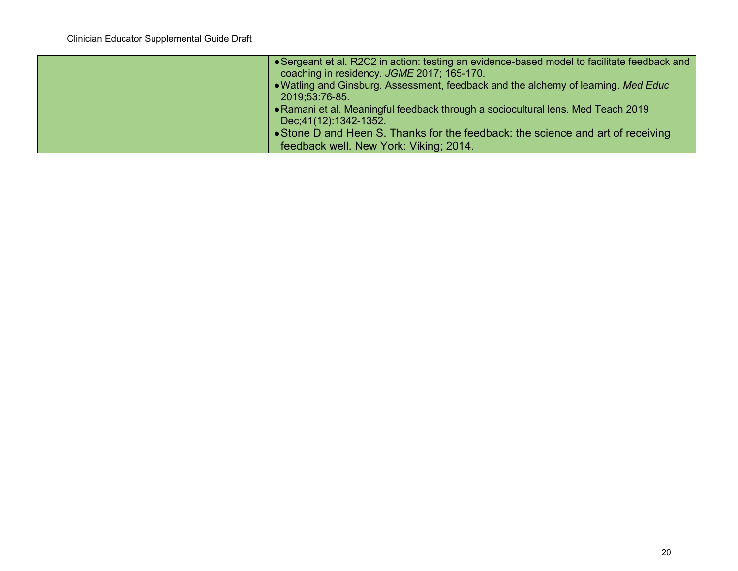| • Sergeant et al. R2C2 in action: testing an evidence-based model to facilitate feedback and<br>coaching in residency. JGME 2017; 165-170. |
|--------------------------------------------------------------------------------------------------------------------------------------------|
| • Watling and Ginsburg. Assessment, feedback and the alchemy of learning. Med Educ<br>2019;53:76-85.                                       |
| • Ramani et al. Meaningful feedback through a sociocultural lens. Med Teach 2019<br>Dec: 41(12): 1342-1352.                                |
| • Stone D and Heen S. Thanks for the feedback: the science and art of receiving                                                            |
| feedback well. New York: Viking; 2014.                                                                                                     |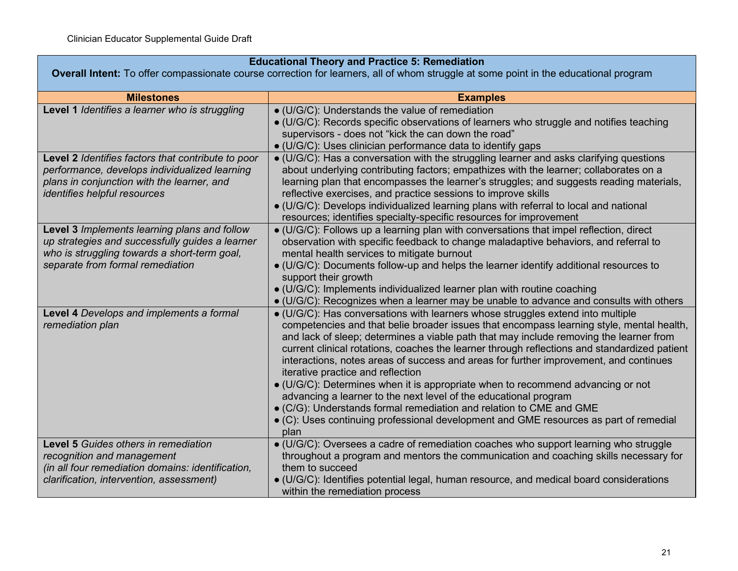| <b>Educational Theory and Practice 5: Remediation</b>                                                                                                                                    |                                                                                                                                                                                                                                                                                                                                                                                                                                                                                                                                                                                                                                                                                                                                                                                                                                            |
|------------------------------------------------------------------------------------------------------------------------------------------------------------------------------------------|--------------------------------------------------------------------------------------------------------------------------------------------------------------------------------------------------------------------------------------------------------------------------------------------------------------------------------------------------------------------------------------------------------------------------------------------------------------------------------------------------------------------------------------------------------------------------------------------------------------------------------------------------------------------------------------------------------------------------------------------------------------------------------------------------------------------------------------------|
| <b>Overall Intent:</b> To offer compassionate course correction for learners, all of whom struggle at some point in the educational program                                              |                                                                                                                                                                                                                                                                                                                                                                                                                                                                                                                                                                                                                                                                                                                                                                                                                                            |
| <b>Milestones</b>                                                                                                                                                                        | <b>Examples</b>                                                                                                                                                                                                                                                                                                                                                                                                                                                                                                                                                                                                                                                                                                                                                                                                                            |
| Level 1 Identifies a learner who is struggling                                                                                                                                           | · (U/G/C): Understands the value of remediation<br>• (U/G/C): Records specific observations of learners who struggle and notifies teaching<br>supervisors - does not "kick the can down the road"<br>• (U/G/C): Uses clinician performance data to identify gaps                                                                                                                                                                                                                                                                                                                                                                                                                                                                                                                                                                           |
| Level 2 Identifies factors that contribute to poor<br>performance, develops individualized learning<br>plans in conjunction with the learner, and<br><i>identifies helpful resources</i> | • (U/G/C): Has a conversation with the struggling learner and asks clarifying questions<br>about underlying contributing factors; empathizes with the learner; collaborates on a<br>learning plan that encompasses the learner's struggles; and suggests reading materials,<br>reflective exercises, and practice sessions to improve skills<br>• (U/G/C): Develops individualized learning plans with referral to local and national<br>resources; identifies specialty-specific resources for improvement                                                                                                                                                                                                                                                                                                                                |
| Level 3 Implements learning plans and follow<br>up strategies and successfully guides a learner<br>who is struggling towards a short-term goal,<br>separate from formal remediation      | • (U/G/C): Follows up a learning plan with conversations that impel reflection, direct<br>observation with specific feedback to change maladaptive behaviors, and referral to<br>mental health services to mitigate burnout<br>· (U/G/C): Documents follow-up and helps the learner identify additional resources to<br>support their growth<br>• (U/G/C): Implements individualized learner plan with routine coaching<br>• (U/G/C): Recognizes when a learner may be unable to advance and consults with others                                                                                                                                                                                                                                                                                                                          |
| Level 4 Develops and implements a formal<br>remediation plan                                                                                                                             | • (U/G/C): Has conversations with learners whose struggles extend into multiple<br>competencies and that belie broader issues that encompass learning style, mental health,<br>and lack of sleep; determines a viable path that may include removing the learner from<br>current clinical rotations, coaches the learner through reflections and standardized patient<br>interactions, notes areas of success and areas for further improvement, and continues<br>iterative practice and reflection<br>$\bullet$ (U/G/C): Determines when it is appropriate when to recommend advancing or not<br>advancing a learner to the next level of the educational program<br>• (C/G): Understands formal remediation and relation to CME and GME<br>• (C): Uses continuing professional development and GME resources as part of remedial<br>plan |
| Level 5 Guides others in remediation<br>recognition and management<br>(in all four remediation domains: identification,<br>clarification, intervention, assessment)                      | • (U/G/C): Oversees a cadre of remediation coaches who support learning who struggle<br>throughout a program and mentors the communication and coaching skills necessary for<br>them to succeed<br>• (U/G/C): Identifies potential legal, human resource, and medical board considerations<br>within the remediation process                                                                                                                                                                                                                                                                                                                                                                                                                                                                                                               |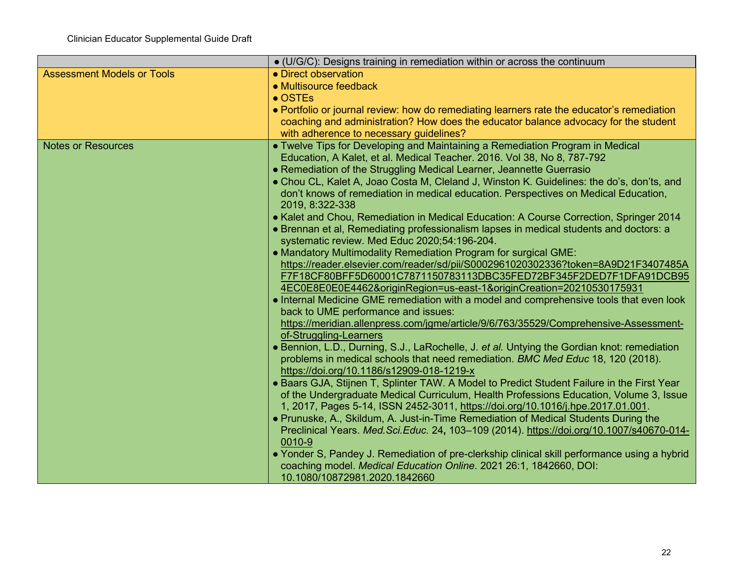|                                   | • (U/G/C): Designs training in remediation within or across the continuum                                                                                          |
|-----------------------------------|--------------------------------------------------------------------------------------------------------------------------------------------------------------------|
| <b>Assessment Models or Tools</b> | • Direct observation                                                                                                                                               |
|                                   | • Multisource feedback                                                                                                                                             |
|                                   | $\bullet$ OSTEs                                                                                                                                                    |
|                                   | • Portfolio or journal review: how do remediating learners rate the educator's remediation                                                                         |
|                                   | coaching and administration? How does the educator balance advocacy for the student                                                                                |
|                                   | with adherence to necessary guidelines?                                                                                                                            |
| <b>Notes or Resources</b>         | • Twelve Tips for Developing and Maintaining a Remediation Program in Medical                                                                                      |
|                                   | Education, A Kalet, et al. Medical Teacher. 2016. Vol 38, No 8, 787-792                                                                                            |
|                                   | • Remediation of the Struggling Medical Learner, Jeannette Guerrasio                                                                                               |
|                                   | • Chou CL, Kalet A, Joao Costa M, Cleland J, Winston K. Guidelines: the do's, don'ts, and                                                                          |
|                                   | don't knows of remediation in medical education. Perspectives on Medical Education,                                                                                |
|                                   | 2019, 8:322-338                                                                                                                                                    |
|                                   | • Kalet and Chou, Remediation in Medical Education: A Course Correction, Springer 2014                                                                             |
|                                   | • Brennan et al, Remediating professionalism lapses in medical students and doctors: a<br>systematic review. Med Educ 2020;54:196-204.                             |
|                                   | • Mandatory Multimodality Remediation Program for surgical GME:                                                                                                    |
|                                   | https://reader.elsevier.com/reader/sd/pii/S0002961020302336?token=8A9D21F3407485A                                                                                  |
|                                   | F7F18CF80BFF5D60001C7871150783113DBC35FED72BF345F2DED7F1DFA91DCB95                                                                                                 |
|                                   | 4EC0E8E0E0E4462&originRegion=us-east-1&originCreation=20210530175931                                                                                               |
|                                   | • Internal Medicine GME remediation with a model and comprehensive tools that even look                                                                            |
|                                   | back to UME performance and issues:                                                                                                                                |
|                                   | https://meridian.allenpress.com/jgme/article/9/6/763/35529/Comprehensive-Assessment-                                                                               |
|                                   | of-Struggling-Learners                                                                                                                                             |
|                                   | • Bennion, L.D., Durning, S.J., LaRochelle, J. et al. Untying the Gordian knot: remediation                                                                        |
|                                   | problems in medical schools that need remediation. BMC Med Educ 18, 120 (2018).                                                                                    |
|                                   | https://doi.org/10.1186/s12909-018-1219-x                                                                                                                          |
|                                   | • Baars GJA, Stijnen T, Splinter TAW. A Model to Predict Student Failure in the First Year                                                                         |
|                                   | of the Undergraduate Medical Curriculum, Health Professions Education, Volume 3, Issue                                                                             |
|                                   | 1, 2017, Pages 5-14, ISSN 2452-3011, https://doi.org/10.1016/j.hpe.2017.01.001.                                                                                    |
|                                   | • Prunuske, A., Skildum, A. Just-in-Time Remediation of Medical Students During the                                                                                |
|                                   | Preclinical Years. Med. Sci. Educ. 24, 103-109 (2014). https://doi.org/10.1007/s40670-014-                                                                         |
|                                   | 0010-9                                                                                                                                                             |
|                                   | • Yonder S, Pandey J. Remediation of pre-clerkship clinical skill performance using a hybrid<br>coaching model. Medical Education Online. 2021 26:1, 1842660, DOI: |
|                                   | 10.1080/10872981.2020.1842660                                                                                                                                      |
|                                   |                                                                                                                                                                    |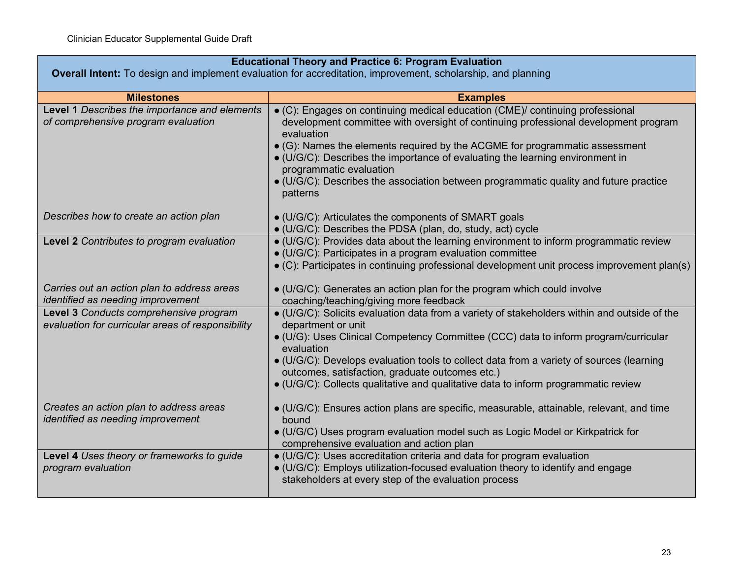| <b>Educational Theory and Practice 6: Program Evaluation</b><br>Overall Intent: To design and implement evaluation for accreditation, improvement, scholarship, and planning |                                                                                                                                                                                                                                                                                                                                                                                                                                                                                            |
|------------------------------------------------------------------------------------------------------------------------------------------------------------------------------|--------------------------------------------------------------------------------------------------------------------------------------------------------------------------------------------------------------------------------------------------------------------------------------------------------------------------------------------------------------------------------------------------------------------------------------------------------------------------------------------|
|                                                                                                                                                                              |                                                                                                                                                                                                                                                                                                                                                                                                                                                                                            |
| <b>Milestones</b>                                                                                                                                                            | <b>Examples</b>                                                                                                                                                                                                                                                                                                                                                                                                                                                                            |
| Level 1 Describes the importance and elements<br>of comprehensive program evaluation                                                                                         | • (C): Engages on continuing medical education (CME)/ continuing professional<br>development committee with oversight of continuing professional development program<br>evaluation<br>$\bullet$ (G): Names the elements required by the ACGME for programmatic assessment<br>• (U/G/C): Describes the importance of evaluating the learning environment in<br>programmatic evaluation<br>• (U/G/C): Describes the association between programmatic quality and future practice<br>patterns |
| Describes how to create an action plan                                                                                                                                       | • (U/G/C): Articulates the components of SMART goals<br>• (U/G/C): Describes the PDSA (plan, do, study, act) cycle                                                                                                                                                                                                                                                                                                                                                                         |
| Level 2 Contributes to program evaluation                                                                                                                                    | • (U/G/C): Provides data about the learning environment to inform programmatic review<br>· (U/G/C): Participates in a program evaluation committee<br>• (C): Participates in continuing professional development unit process improvement plan(s)                                                                                                                                                                                                                                          |
| Carries out an action plan to address areas<br>identified as needing improvement                                                                                             | • (U/G/C): Generates an action plan for the program which could involve<br>coaching/teaching/giving more feedback                                                                                                                                                                                                                                                                                                                                                                          |
| Level 3 Conducts comprehensive program<br>evaluation for curricular areas of responsibility                                                                                  | · (U/G/C): Solicits evaluation data from a variety of stakeholders within and outside of the<br>department or unit<br>• (U/G): Uses Clinical Competency Committee (CCC) data to inform program/curricular<br>evaluation<br>• (U/G/C): Develops evaluation tools to collect data from a variety of sources (learning<br>outcomes, satisfaction, graduate outcomes etc.)<br>• (U/G/C): Collects qualitative and qualitative data to inform programmatic review                               |
| Creates an action plan to address areas<br>identified as needing improvement                                                                                                 | • (U/G/C): Ensures action plans are specific, measurable, attainable, relevant, and time<br>bound<br>• (U/G/C) Uses program evaluation model such as Logic Model or Kirkpatrick for<br>comprehensive evaluation and action plan                                                                                                                                                                                                                                                            |
| Level 4 Uses theory or frameworks to guide<br>program evaluation                                                                                                             | · (U/G/C): Uses accreditation criteria and data for program evaluation<br>· (U/G/C): Employs utilization-focused evaluation theory to identify and engage<br>stakeholders at every step of the evaluation process                                                                                                                                                                                                                                                                          |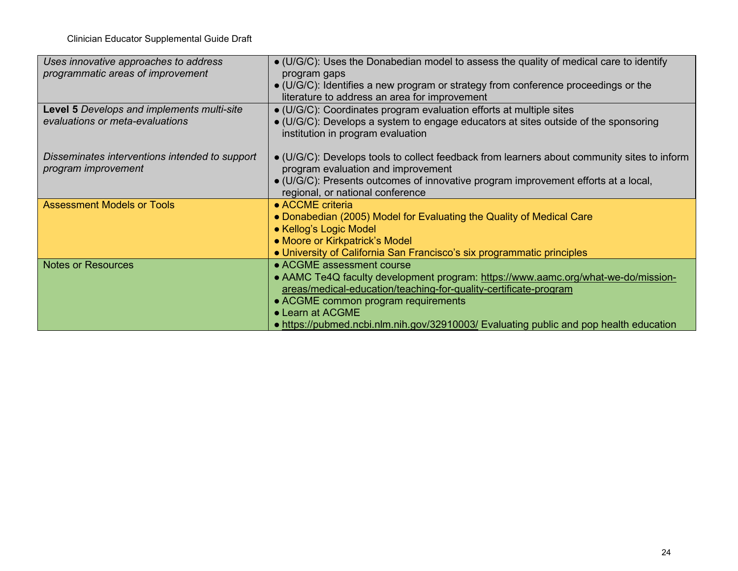Clinician Educator Supplemental Guide Draft

| Uses innovative approaches to address          | • (U/G/C): Uses the Donabedian model to assess the quality of medical care to identify              |
|------------------------------------------------|-----------------------------------------------------------------------------------------------------|
| programmatic areas of improvement              | program gaps                                                                                        |
|                                                | $\bullet$ (U/G/C): Identifies a new program or strategy from conference proceedings or the          |
|                                                | literature to address an area for improvement                                                       |
| Level 5 Develops and implements multi-site     | • (U/G/C): Coordinates program evaluation efforts at multiple sites                                 |
| evaluations or meta-evaluations                | • (U/G/C): Develops a system to engage educators at sites outside of the sponsoring                 |
|                                                | institution in program evaluation                                                                   |
|                                                |                                                                                                     |
| Disseminates interventions intended to support | $\bullet$ (U/G/C): Develops tools to collect feedback from learners about community sites to inform |
| program improvement                            | program evaluation and improvement                                                                  |
|                                                | · (U/G/C): Presents outcomes of innovative program improvement efforts at a local,                  |
|                                                | regional, or national conference                                                                    |
| <b>Assessment Models or Tools</b>              | • ACCME criteria                                                                                    |
|                                                | • Donabedian (2005) Model for Evaluating the Quality of Medical Care                                |
|                                                | • Kellog's Logic Model                                                                              |
|                                                | • Moore or Kirkpatrick's Model                                                                      |
|                                                | • University of California San Francisco's six programmatic principles                              |
| <b>Notes or Resources</b>                      | • ACGME assessment course                                                                           |
|                                                | • AAMC Te4Q faculty development program: https://www.aamc.org/what-we-do/mission-                   |
|                                                | areas/medical-education/teaching-for-quality-certificate-program                                    |
|                                                | • ACGME common program requirements                                                                 |
|                                                | • Learn at ACGME                                                                                    |
|                                                | • https://pubmed.ncbi.nlm.nih.gov/32910003/ Evaluating public and pop health education              |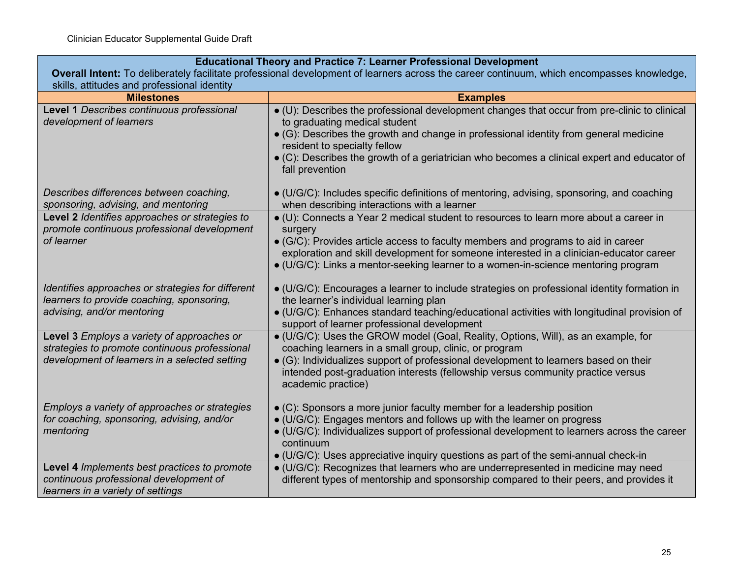## **Educational Theory and Practice 7: Learner Professional Development**

**Overall Intent:** To deliberately facilitate professional development of learners across the career continuum, which encompasses knowledge, skills, attitudes and professional identity

| <b>Milestones</b>                                                                              | <b>Examples</b>                                                                                                                                                                                                                                                   |
|------------------------------------------------------------------------------------------------|-------------------------------------------------------------------------------------------------------------------------------------------------------------------------------------------------------------------------------------------------------------------|
| Level 1 Describes continuous professional<br>development of learners                           | • (U): Describes the professional development changes that occur from pre-clinic to clinical<br>to graduating medical student                                                                                                                                     |
|                                                                                                | • (G): Describes the growth and change in professional identity from general medicine<br>resident to specialty fellow                                                                                                                                             |
|                                                                                                | $\bullet$ (C): Describes the growth of a geriatrician who becomes a clinical expert and educator of<br>fall prevention                                                                                                                                            |
| Describes differences between coaching,<br>sponsoring, advising, and mentoring                 | $\bullet$ (U/G/C): Includes specific definitions of mentoring, advising, sponsoring, and coaching<br>when describing interactions with a learner                                                                                                                  |
| Level 2 Identifies approaches or strategies to<br>promote continuous professional development  | • (U): Connects a Year 2 medical student to resources to learn more about a career in<br>surgery                                                                                                                                                                  |
| of learner                                                                                     | • (G/C): Provides article access to faculty members and programs to aid in career<br>exploration and skill development for someone interested in a clinician-educator career<br>• (U/G/C): Links a mentor-seeking learner to a women-in-science mentoring program |
| Identifies approaches or strategies for different<br>learners to provide coaching, sponsoring, | $\bullet$ (U/G/C): Encourages a learner to include strategies on professional identity formation in<br>the learner's individual learning plan                                                                                                                     |
| advising, and/or mentoring                                                                     | • (U/G/C): Enhances standard teaching/educational activities with longitudinal provision of<br>support of learner professional development                                                                                                                        |
| Level 3 Employs a variety of approaches or<br>strategies to promote continuous professional    | • (U/G/C): Uses the GROW model (Goal, Reality, Options, Will), as an example, for<br>coaching learners in a small group, clinic, or program                                                                                                                       |
| development of learners in a selected setting                                                  | • (G): Individualizes support of professional development to learners based on their<br>intended post-graduation interests (fellowship versus community practice versus<br>academic practice)                                                                     |
| Employs a variety of approaches or strategies<br>for coaching, sponsoring, advising, and/or    | $\bullet$ (C): Sponsors a more junior faculty member for a leadership position<br>• (U/G/C): Engages mentors and follows up with the learner on progress                                                                                                          |
| mentoring                                                                                      | • (U/G/C): Individualizes support of professional development to learners across the career<br>continuum<br>• (U/G/C): Uses appreciative inquiry questions as part of the semi-annual check-in                                                                    |
| Level 4 Implements best practices to promote                                                   | • (U/G/C): Recognizes that learners who are underrepresented in medicine may need                                                                                                                                                                                 |
| continuous professional development of<br>learners in a variety of settings                    | different types of mentorship and sponsorship compared to their peers, and provides it                                                                                                                                                                            |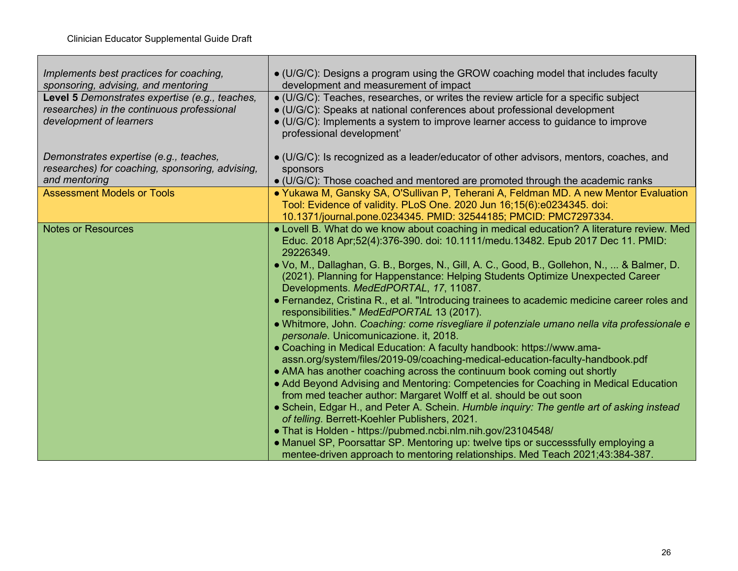| Implements best practices for coaching,<br>sponsoring, advising, and mentoring                                          | • (U/G/C): Designs a program using the GROW coaching model that includes faculty<br>development and measurement of impact                                                                                                                                                                                                                                                                                                                                                                                                                                                                                                                                                                                                                                                                                                                                                                                                                                                                                                                                                                                                                                                                                                                                                                                                                                                                                                                                                                     |
|-------------------------------------------------------------------------------------------------------------------------|-----------------------------------------------------------------------------------------------------------------------------------------------------------------------------------------------------------------------------------------------------------------------------------------------------------------------------------------------------------------------------------------------------------------------------------------------------------------------------------------------------------------------------------------------------------------------------------------------------------------------------------------------------------------------------------------------------------------------------------------------------------------------------------------------------------------------------------------------------------------------------------------------------------------------------------------------------------------------------------------------------------------------------------------------------------------------------------------------------------------------------------------------------------------------------------------------------------------------------------------------------------------------------------------------------------------------------------------------------------------------------------------------------------------------------------------------------------------------------------------------|
| Level 5 Demonstrates expertise (e.g., teaches,<br>researches) in the continuous professional<br>development of learners | • (U/G/C): Teaches, researches, or writes the review article for a specific subject<br>• (U/G/C): Speaks at national conferences about professional development<br>• (U/G/C): Implements a system to improve learner access to guidance to improve<br>professional development'                                                                                                                                                                                                                                                                                                                                                                                                                                                                                                                                                                                                                                                                                                                                                                                                                                                                                                                                                                                                                                                                                                                                                                                                               |
| Demonstrates expertise (e.g., teaches,<br>researches) for coaching, sponsoring, advising,<br>and mentoring              | · (U/G/C): Is recognized as a leader/educator of other advisors, mentors, coaches, and<br>sponsors<br>• (U/G/C): Those coached and mentored are promoted through the academic ranks                                                                                                                                                                                                                                                                                                                                                                                                                                                                                                                                                                                                                                                                                                                                                                                                                                                                                                                                                                                                                                                                                                                                                                                                                                                                                                           |
| <b>Assessment Models or Tools</b>                                                                                       | • Yukawa M, Gansky SA, O'Sullivan P, Teherani A, Feldman MD. A new Mentor Evaluation<br>Tool: Evidence of validity. PLoS One. 2020 Jun 16;15(6):e0234345. doi:<br>10.1371/journal.pone.0234345. PMID: 32544185; PMCID: PMC7297334.                                                                                                                                                                                                                                                                                                                                                                                                                                                                                                                                                                                                                                                                                                                                                                                                                                                                                                                                                                                                                                                                                                                                                                                                                                                            |
| <b>Notes or Resources</b>                                                                                               | • Lovell B. What do we know about coaching in medical education? A literature review. Med<br>Educ. 2018 Apr;52(4):376-390. doi: 10.1111/medu.13482. Epub 2017 Dec 11. PMID:<br>29226349.<br>• Vo, M., Dallaghan, G. B., Borges, N., Gill, A. C., Good, B., Gollehon, N.,  & Balmer, D.<br>(2021). Planning for Happenstance: Helping Students Optimize Unexpected Career<br>Developments. MedEdPORTAL, 17, 11087.<br>• Fernandez, Cristina R., et al. "Introducing trainees to academic medicine career roles and<br>responsibilities." MedEdPORTAL 13 (2017).<br>• Whitmore, John. Coaching: come risvegliare il potenziale umano nella vita professionale e<br>personale. Unicomunicazione. it, 2018.<br>• Coaching in Medical Education: A faculty handbook: https://www.ama-<br>assn.org/system/files/2019-09/coaching-medical-education-faculty-handbook.pdf<br>• AMA has another coaching across the continuum book coming out shortly<br>• Add Beyond Advising and Mentoring: Competencies for Coaching in Medical Education<br>from med teacher author: Margaret Wolff et al. should be out soon<br>• Schein, Edgar H., and Peter A. Schein. Humble inquiry: The gentle art of asking instead<br>of telling. Berrett-Koehler Publishers, 2021.<br>• That is Holden - https://pubmed.ncbi.nlm.nih.gov/23104548/<br>• Manuel SP, Poorsattar SP. Mentoring up: twelve tips or successsfully employing a<br>mentee-driven approach to mentoring relationships. Med Teach 2021;43:384-387. |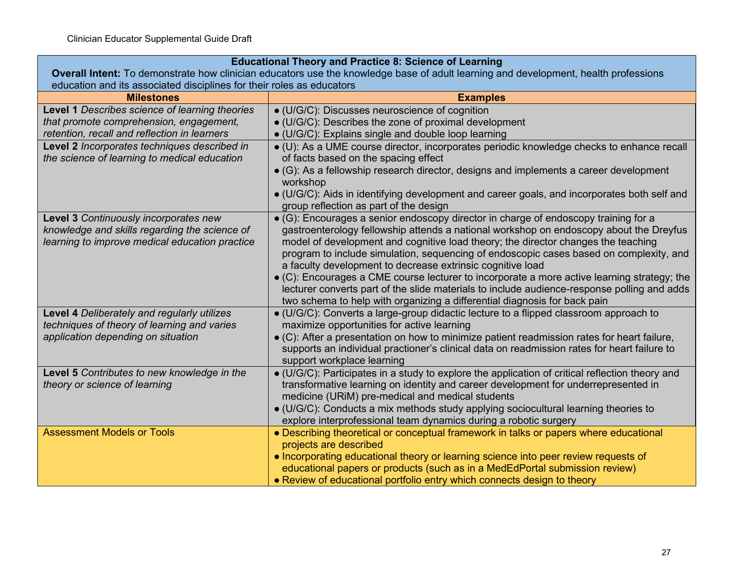| <b>Educational Theory and Practice 8: Science of Learning</b>                                                                            |                                                                                                                                                                                                                                                                                                                                                                                                                                                                                                                                                                                                                                                                                                                       |  |
|------------------------------------------------------------------------------------------------------------------------------------------|-----------------------------------------------------------------------------------------------------------------------------------------------------------------------------------------------------------------------------------------------------------------------------------------------------------------------------------------------------------------------------------------------------------------------------------------------------------------------------------------------------------------------------------------------------------------------------------------------------------------------------------------------------------------------------------------------------------------------|--|
| Overall Intent: To demonstrate how clinician educators use the knowledge base of adult learning and development, health professions      |                                                                                                                                                                                                                                                                                                                                                                                                                                                                                                                                                                                                                                                                                                                       |  |
|                                                                                                                                          | education and its associated disciplines for their roles as educators                                                                                                                                                                                                                                                                                                                                                                                                                                                                                                                                                                                                                                                 |  |
| <b>Milestones</b>                                                                                                                        | <b>Examples</b>                                                                                                                                                                                                                                                                                                                                                                                                                                                                                                                                                                                                                                                                                                       |  |
| Level 1 Describes science of learning theories                                                                                           | • (U/G/C): Discusses neuroscience of cognition                                                                                                                                                                                                                                                                                                                                                                                                                                                                                                                                                                                                                                                                        |  |
| that promote comprehension, engagement,                                                                                                  | · (U/G/C): Describes the zone of proximal development                                                                                                                                                                                                                                                                                                                                                                                                                                                                                                                                                                                                                                                                 |  |
| retention, recall and reflection in learners                                                                                             | • (U/G/C): Explains single and double loop learning                                                                                                                                                                                                                                                                                                                                                                                                                                                                                                                                                                                                                                                                   |  |
| Level 2 Incorporates techniques described in<br>the science of learning to medical education                                             | · (U): As a UME course director, incorporates periodic knowledge checks to enhance recall<br>of facts based on the spacing effect                                                                                                                                                                                                                                                                                                                                                                                                                                                                                                                                                                                     |  |
|                                                                                                                                          | • (G): As a fellowship research director, designs and implements a career development<br>workshop                                                                                                                                                                                                                                                                                                                                                                                                                                                                                                                                                                                                                     |  |
|                                                                                                                                          | · (U/G/C): Aids in identifying development and career goals, and incorporates both self and<br>group reflection as part of the design                                                                                                                                                                                                                                                                                                                                                                                                                                                                                                                                                                                 |  |
| Level 3 Continuously incorporates new<br>knowledge and skills regarding the science of<br>learning to improve medical education practice | $\bullet$ (G): Encourages a senior endoscopy director in charge of endoscopy training for a<br>gastroenterology fellowship attends a national workshop on endoscopy about the Dreyfus<br>model of development and cognitive load theory; the director changes the teaching<br>program to include simulation, sequencing of endoscopic cases based on complexity, and<br>a faculty development to decrease extrinsic cognitive load<br>$\bullet$ (C): Encourages a CME course lecturer to incorporate a more active learning strategy; the<br>lecturer converts part of the slide materials to include audience-response polling and adds<br>two schema to help with organizing a differential diagnosis for back pain |  |
| Level 4 Deliberately and regularly utilizes<br>techniques of theory of learning and varies<br>application depending on situation         | $\bullet$ (U/G/C): Converts a large-group didactic lecture to a flipped classroom approach to<br>maximize opportunities for active learning<br>$\bullet$ (C): After a presentation on how to minimize patient readmission rates for heart failure,<br>supports an individual practioner's clinical data on readmission rates for heart failure to<br>support workplace learning                                                                                                                                                                                                                                                                                                                                       |  |
| Level 5 Contributes to new knowledge in the<br>theory or science of learning                                                             | · (U/G/C): Participates in a study to explore the application of critical reflection theory and<br>transformative learning on identity and career development for underrepresented in<br>medicine (URiM) pre-medical and medical students<br>$\bullet$ (U/G/C): Conducts a mix methods study applying sociocultural learning theories to<br>explore interprofessional team dynamics during a robotic surgery                                                                                                                                                                                                                                                                                                          |  |
| <b>Assessment Models or Tools</b>                                                                                                        | • Describing theoretical or conceptual framework in talks or papers where educational<br>projects are described<br>• Incorporating educational theory or learning science into peer review requests of<br>educational papers or products (such as in a MedEdPortal submission review)<br>• Review of educational portfolio entry which connects design to theory                                                                                                                                                                                                                                                                                                                                                      |  |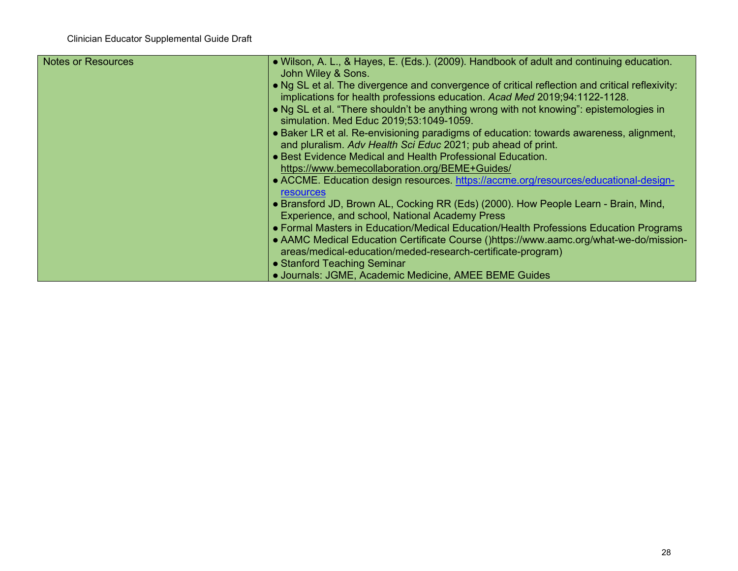| <b>Notes or Resources</b> | . Wilson, A. L., & Hayes, E. (Eds.). (2009). Handbook of adult and continuing education.<br>John Wiley & Sons.                                                                                                                                 |
|---------------------------|------------------------------------------------------------------------------------------------------------------------------------------------------------------------------------------------------------------------------------------------|
|                           | • Ng SL et al. The divergence and convergence of critical reflection and critical reflexivity:<br>implications for health professions education. Acad Med 2019;94:1122-1128.                                                                   |
|                           | • Ng SL et al. "There shouldn't be anything wrong with not knowing": epistemologies in<br>simulation. Med Educ 2019;53:1049-1059.                                                                                                              |
|                           | • Baker LR et al. Re-envisioning paradigms of education: towards awareness, alignment,<br>and pluralism. Adv Health Sci Educ 2021; pub ahead of print.                                                                                         |
|                           | • Best Evidence Medical and Health Professional Education.<br>https://www.bemecollaboration.org/BEME+Guides/                                                                                                                                   |
|                           | • ACCME. Education design resources. https://accme.org/resources/educational-design-<br><b>resources</b>                                                                                                                                       |
|                           | • Bransford JD, Brown AL, Cocking RR (Eds) (2000). How People Learn - Brain, Mind,<br>Experience, and school, National Academy Press                                                                                                           |
|                           | • Formal Masters in Education/Medical Education/Health Professions Education Programs<br>• AAMC Medical Education Certificate Course ()https://www.aamc.org/what-we-do/mission-<br>areas/medical-education/meded-research-certificate-program) |
|                           | • Stanford Teaching Seminar<br>• Journals: JGME, Academic Medicine, AMEE BEME Guides                                                                                                                                                           |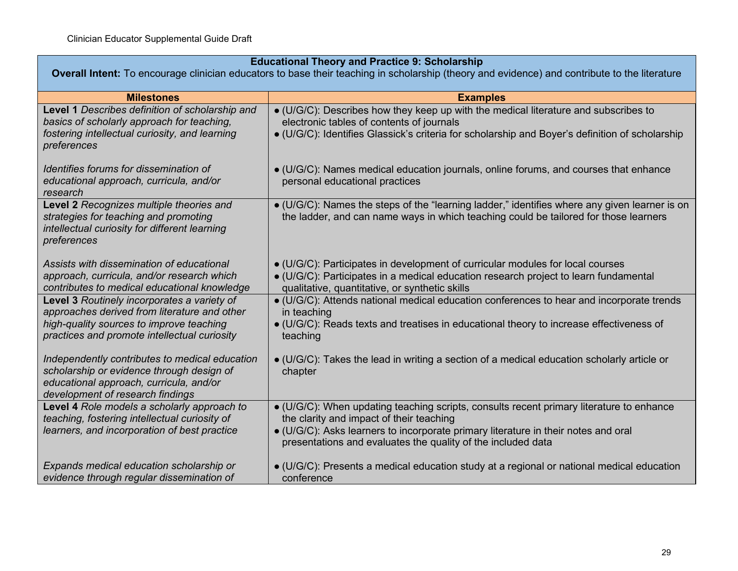| <b>Educational Theory and Practice 9: Scholarship</b> |  |
|-------------------------------------------------------|--|
|-------------------------------------------------------|--|

**Overall Intent:** To encourage clinician educators to base their teaching in scholarship (theory and evidence) and contribute to the literature

| <b>Milestones</b>                                                                                                                                                          | <b>Examples</b>                                                                                                                                                                                                          |
|----------------------------------------------------------------------------------------------------------------------------------------------------------------------------|--------------------------------------------------------------------------------------------------------------------------------------------------------------------------------------------------------------------------|
| Level 1 Describes definition of scholarship and<br>basics of scholarly approach for teaching,                                                                              | · (U/G/C): Describes how they keep up with the medical literature and subscribes to<br>electronic tables of contents of journals                                                                                         |
| fostering intellectual curiosity, and learning<br>preferences                                                                                                              | • (U/G/C): Identifies Glassick's criteria for scholarship and Boyer's definition of scholarship                                                                                                                          |
| Identifies forums for dissemination of<br>educational approach, curricula, and/or<br>research                                                                              | $\bullet$ (U/G/C): Names medical education journals, online forums, and courses that enhance<br>personal educational practices                                                                                           |
| Level 2 Recognizes multiple theories and<br>strategies for teaching and promoting<br>intellectual curiosity for different learning<br>preferences                          | • (U/G/C): Names the steps of the "learning ladder," identifies where any given learner is on<br>the ladder, and can name ways in which teaching could be tailored for those learners                                    |
| Assists with dissemination of educational<br>approach, curricula, and/or research which<br>contributes to medical educational knowledge                                    | • (U/G/C): Participates in development of curricular modules for local courses<br>• (U/G/C): Participates in a medical education research project to learn fundamental<br>qualitative, quantitative, or synthetic skills |
| Level 3 Routinely incorporates a variety of<br>approaches derived from literature and other                                                                                | • (U/G/C): Attends national medical education conferences to hear and incorporate trends<br>in teaching                                                                                                                  |
| high-quality sources to improve teaching<br>practices and promote intellectual curiosity                                                                                   | • (U/G/C): Reads texts and treatises in educational theory to increase effectiveness of<br>teaching                                                                                                                      |
| Independently contributes to medical education<br>scholarship or evidence through design of<br>educational approach, curricula, and/or<br>development of research findings | $\bullet$ (U/G/C): Takes the lead in writing a section of a medical education scholarly article or<br>chapter                                                                                                            |
| Level 4 Role models a scholarly approach to<br>teaching, fostering intellectual curiosity of                                                                               | • (U/G/C): When updating teaching scripts, consults recent primary literature to enhance<br>the clarity and impact of their teaching                                                                                     |
| learners, and incorporation of best practice                                                                                                                               | • (U/G/C): Asks learners to incorporate primary literature in their notes and oral<br>presentations and evaluates the quality of the included data                                                                       |
| Expands medical education scholarship or<br>evidence through regular dissemination of                                                                                      | $\bullet$ (U/G/C): Presents a medical education study at a regional or national medical education<br>conference                                                                                                          |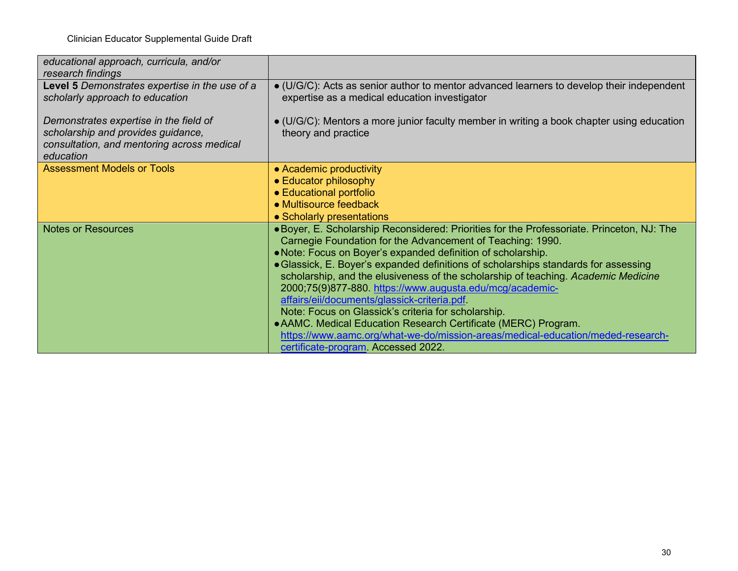| educational approach, curricula, and/or<br>research findings                                                                            |                                                                                                                                                                                                                                                                                                                                                                                                                                                                                                                                                                                                                                                                                                                                                                     |
|-----------------------------------------------------------------------------------------------------------------------------------------|---------------------------------------------------------------------------------------------------------------------------------------------------------------------------------------------------------------------------------------------------------------------------------------------------------------------------------------------------------------------------------------------------------------------------------------------------------------------------------------------------------------------------------------------------------------------------------------------------------------------------------------------------------------------------------------------------------------------------------------------------------------------|
| Level 5 Demonstrates expertise in the use of a<br>scholarly approach to education                                                       | $\bullet$ (U/G/C): Acts as senior author to mentor advanced learners to develop their independent<br>expertise as a medical education investigator                                                                                                                                                                                                                                                                                                                                                                                                                                                                                                                                                                                                                  |
| Demonstrates expertise in the field of<br>scholarship and provides guidance,<br>consultation, and mentoring across medical<br>education | $\bullet$ (U/G/C): Mentors a more junior faculty member in writing a book chapter using education<br>theory and practice                                                                                                                                                                                                                                                                                                                                                                                                                                                                                                                                                                                                                                            |
| <b>Assessment Models or Tools</b>                                                                                                       | • Academic productivity<br>• Educator philosophy<br>• Educational portfolio<br>• Multisource feedback                                                                                                                                                                                                                                                                                                                                                                                                                                                                                                                                                                                                                                                               |
|                                                                                                                                         | • Scholarly presentations                                                                                                                                                                                                                                                                                                                                                                                                                                                                                                                                                                                                                                                                                                                                           |
| <b>Notes or Resources</b>                                                                                                               | • Boyer, E. Scholarship Reconsidered: Priorities for the Professoriate. Princeton, NJ: The<br>Carnegie Foundation for the Advancement of Teaching: 1990.<br>. Note: Focus on Boyer's expanded definition of scholarship.<br>• Glassick, E. Boyer's expanded definitions of scholarships standards for assessing<br>scholarship, and the elusiveness of the scholarship of teaching. Academic Medicine<br>2000;75(9)877-880. https://www.augusta.edu/mcg/academic-<br>affairs/eii/documents/glassick-criteria.pdf<br>Note: Focus on Glassick's criteria for scholarship.<br>• AAMC. Medical Education Research Certificate (MERC) Program.<br>https://www.aamc.org/what-we-do/mission-areas/medical-education/meded-research-<br>certificate-program. Accessed 2022. |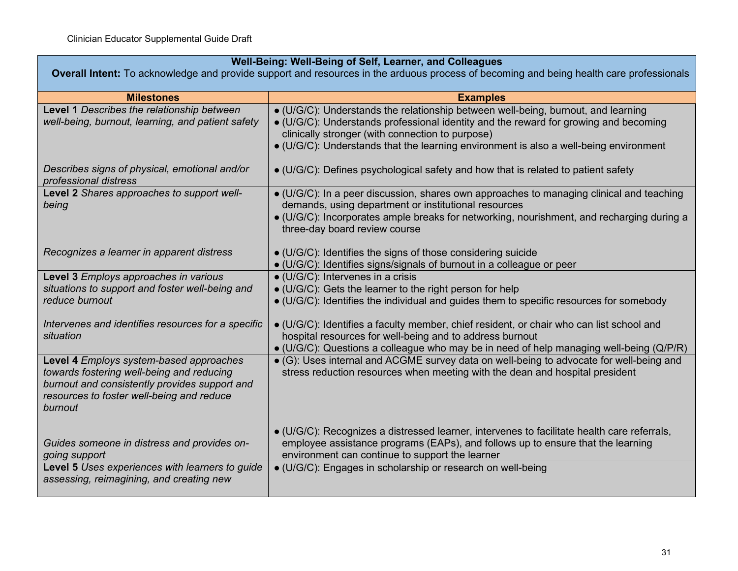### **Well-Being: Well-Being of Self, Learner, and Colleagues**

**Overall Intent:** To acknowledge and provide support and resources in the arduous process of becoming and being health care professionals

| <b>Milestones</b>                                                                                                                                                                             | <b>Examples</b>                                                                                                                                                                                                                                                                                                        |
|-----------------------------------------------------------------------------------------------------------------------------------------------------------------------------------------------|------------------------------------------------------------------------------------------------------------------------------------------------------------------------------------------------------------------------------------------------------------------------------------------------------------------------|
| Level 1 Describes the relationship between<br>well-being, burnout, learning, and patient safety                                                                                               | • (U/G/C): Understands the relationship between well-being, burnout, and learning<br>• (U/G/C): Understands professional identity and the reward for growing and becoming<br>clinically stronger (with connection to purpose)<br>• (U/G/C): Understands that the learning environment is also a well-being environment |
| Describes signs of physical, emotional and/or<br>professional distress                                                                                                                        | $\bullet$ (U/G/C): Defines psychological safety and how that is related to patient safety                                                                                                                                                                                                                              |
| Level 2 Shares approaches to support well-<br>being                                                                                                                                           | • (U/G/C): In a peer discussion, shares own approaches to managing clinical and teaching<br>demands, using department or institutional resources<br>$\bullet$ (U/G/C): Incorporates ample breaks for networking, nourishment, and recharging during a<br>three-day board review course                                 |
| Recognizes a learner in apparent distress                                                                                                                                                     | $\bullet$ (U/G/C): Identifies the signs of those considering suicide<br>• (U/G/C): Identifies signs/signals of burnout in a colleague or peer                                                                                                                                                                          |
| Level 3 Employs approaches in various<br>situations to support and foster well-being and<br>reduce burnout                                                                                    | $\bullet$ (U/G/C): Intervenes in a crisis<br>• (U/G/C): Gets the learner to the right person for help<br>$\bullet$ (U/G/C): Identifies the individual and guides them to specific resources for somebody                                                                                                               |
| Intervenes and identifies resources for a specific<br>situation                                                                                                                               | $\bullet$ (U/G/C): Identifies a faculty member, chief resident, or chair who can list school and<br>hospital resources for well-being and to address burnout<br>• (U/G/C): Questions a colleague who may be in need of help managing well-being (Q/P/R)                                                                |
| Level 4 Employs system-based approaches<br>towards fostering well-being and reducing<br>burnout and consistently provides support and<br>resources to foster well-being and reduce<br>burnout | • (G): Uses internal and ACGME survey data on well-being to advocate for well-being and<br>stress reduction resources when meeting with the dean and hospital president                                                                                                                                                |
| Guides someone in distress and provides on-<br>going support                                                                                                                                  | $\bullet$ (U/G/C): Recognizes a distressed learner, intervenes to facilitate health care referrals,<br>employee assistance programs (EAPs), and follows up to ensure that the learning<br>environment can continue to support the learner                                                                              |
| Level 5 Uses experiences with learners to guide<br>assessing, reimagining, and creating new                                                                                                   | · (U/G/C): Engages in scholarship or research on well-being                                                                                                                                                                                                                                                            |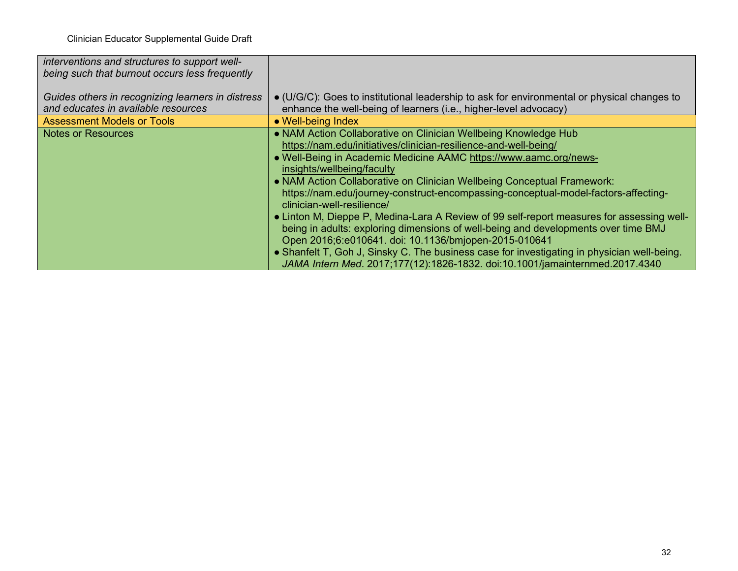| interventions and structures to support well-<br>being such that burnout occurs less frequently |                                                                                                                                                                                                                                          |
|-------------------------------------------------------------------------------------------------|------------------------------------------------------------------------------------------------------------------------------------------------------------------------------------------------------------------------------------------|
|                                                                                                 |                                                                                                                                                                                                                                          |
| Guides others in recognizing learners in distress                                               | • (U/G/C): Goes to institutional leadership to ask for environmental or physical changes to                                                                                                                                              |
| and educates in available resources                                                             | enhance the well-being of learners (i.e., higher-level advocacy)                                                                                                                                                                         |
| <b>Assessment Models or Tools</b>                                                               | • Well-being Index                                                                                                                                                                                                                       |
| <b>Notes or Resources</b>                                                                       | • NAM Action Collaborative on Clinician Wellbeing Knowledge Hub                                                                                                                                                                          |
|                                                                                                 | https://nam.edu/initiatives/clinician-resilience-and-well-being/                                                                                                                                                                         |
|                                                                                                 | • Well-Being in Academic Medicine AAMC https://www.aamc.org/news-                                                                                                                                                                        |
|                                                                                                 | insights/wellbeing/faculty                                                                                                                                                                                                               |
|                                                                                                 | . NAM Action Collaborative on Clinician Wellbeing Conceptual Framework:                                                                                                                                                                  |
|                                                                                                 | https://nam.edu/journey-construct-encompassing-conceptual-model-factors-affecting-<br>clinician-well-resilience/                                                                                                                         |
|                                                                                                 | • Linton M, Dieppe P, Medina-Lara A Review of 99 self-report measures for assessing well-<br>being in adults: exploring dimensions of well-being and developments over time BMJ<br>Open 2016;6:e010641. doi: 10.1136/bmjopen-2015-010641 |
|                                                                                                 | • Shanfelt T, Goh J, Sinsky C. The business case for investigating in physician well-being.<br>JAMA Intern Med. 2017;177(12):1826-1832. doi:10.1001/jamainternmed.2017.4340                                                              |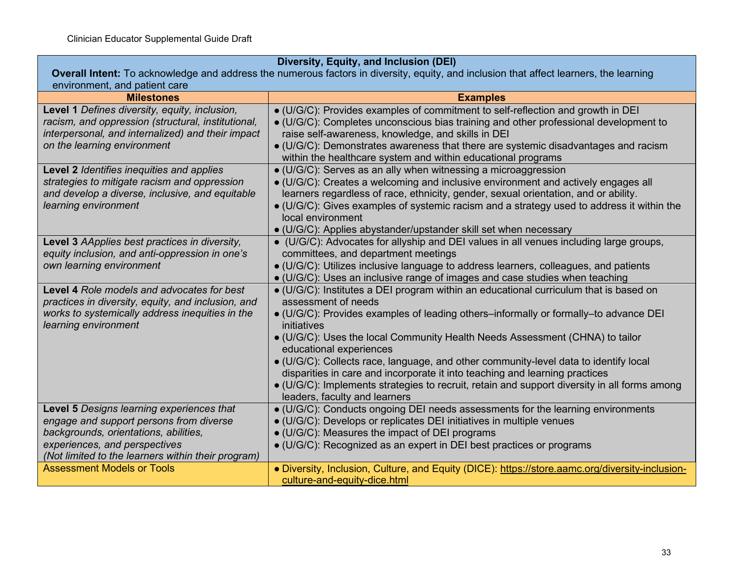| Diversity, Equity, and Inclusion (DEI)                                                                                                 |                                                                                                                                                                     |
|----------------------------------------------------------------------------------------------------------------------------------------|---------------------------------------------------------------------------------------------------------------------------------------------------------------------|
| Overall Intent: To acknowledge and address the numerous factors in diversity, equity, and inclusion that affect learners, the learning |                                                                                                                                                                     |
| environment, and patient care                                                                                                          |                                                                                                                                                                     |
| <b>Milestones</b>                                                                                                                      | <b>Examples</b>                                                                                                                                                     |
| Level 1 Defines diversity, equity, inclusion,                                                                                          | · (U/G/C): Provides examples of commitment to self-reflection and growth in DEI                                                                                     |
| racism, and oppression (structural, institutional,                                                                                     | $\bullet$ (U/G/C): Completes unconscious bias training and other professional development to                                                                        |
| interpersonal, and internalized) and their impact                                                                                      | raise self-awareness, knowledge, and skills in DEI                                                                                                                  |
| on the learning environment                                                                                                            | $\bullet$ (U/G/C): Demonstrates awareness that there are systemic disadvantages and racism                                                                          |
|                                                                                                                                        | within the healthcare system and within educational programs                                                                                                        |
| Level 2 Identifies inequities and applies                                                                                              | • (U/G/C): Serves as an ally when witnessing a microaggression                                                                                                      |
| strategies to mitigate racism and oppression                                                                                           | • (U/G/C): Creates a welcoming and inclusive environment and actively engages all                                                                                   |
| and develop a diverse, inclusive, and equitable                                                                                        | learners regardless of race, ethnicity, gender, sexual orientation, and or ability.                                                                                 |
| learning environment                                                                                                                   | $\bullet$ (U/G/C): Gives examples of systemic racism and a strategy used to address it within the                                                                   |
|                                                                                                                                        | local environment                                                                                                                                                   |
|                                                                                                                                        | • (U/G/C): Applies abystander/upstander skill set when necessary                                                                                                    |
| Level 3 AApplies best practices in diversity,                                                                                          | • (U/G/C): Advocates for allyship and DEI values in all venues including large groups,                                                                              |
| equity inclusion, and anti-oppression in one's                                                                                         | committees, and department meetings                                                                                                                                 |
| own learning environment                                                                                                               | • (U/G/C): Utilizes inclusive language to address learners, colleagues, and patients                                                                                |
| Level 4 Role models and advocates for best                                                                                             | • (U/G/C): Uses an inclusive range of images and case studies when teaching                                                                                         |
| practices in diversity, equity, and inclusion, and                                                                                     | • (U/G/C): Institutes a DEI program within an educational curriculum that is based on<br>assessment of needs                                                        |
| works to systemically address inequities in the                                                                                        | • (U/G/C): Provides examples of leading others-informally or formally-to advance DEI                                                                                |
| learning environment                                                                                                                   | initiatives                                                                                                                                                         |
|                                                                                                                                        | • (U/G/C): Uses the local Community Health Needs Assessment (CHNA) to tailor                                                                                        |
|                                                                                                                                        | educational experiences                                                                                                                                             |
|                                                                                                                                        | • (U/G/C): Collects race, language, and other community-level data to identify local<br>disparities in care and incorporate it into teaching and learning practices |
|                                                                                                                                        | • (U/G/C): Implements strategies to recruit, retain and support diversity in all forms among                                                                        |
|                                                                                                                                        | leaders, faculty and learners                                                                                                                                       |
| Level 5 Designs learning experiences that                                                                                              | • (U/G/C): Conducts ongoing DEI needs assessments for the learning environments                                                                                     |
| engage and support persons from diverse                                                                                                | • (U/G/C): Develops or replicates DEI initiatives in multiple venues                                                                                                |
| backgrounds, orientations, abilities,                                                                                                  | • (U/G/C): Measures the impact of DEI programs                                                                                                                      |
| experiences, and perspectives                                                                                                          | • (U/G/C): Recognized as an expert in DEI best practices or programs                                                                                                |
| (Not limited to the learners within their program)                                                                                     |                                                                                                                                                                     |
| <b>Assessment Models or Tools</b>                                                                                                      | • Diversity, Inclusion, Culture, and Equity (DICE): https://store.aamc.org/diversity-inclusion-                                                                     |
|                                                                                                                                        | culture-and-equity-dice.html                                                                                                                                        |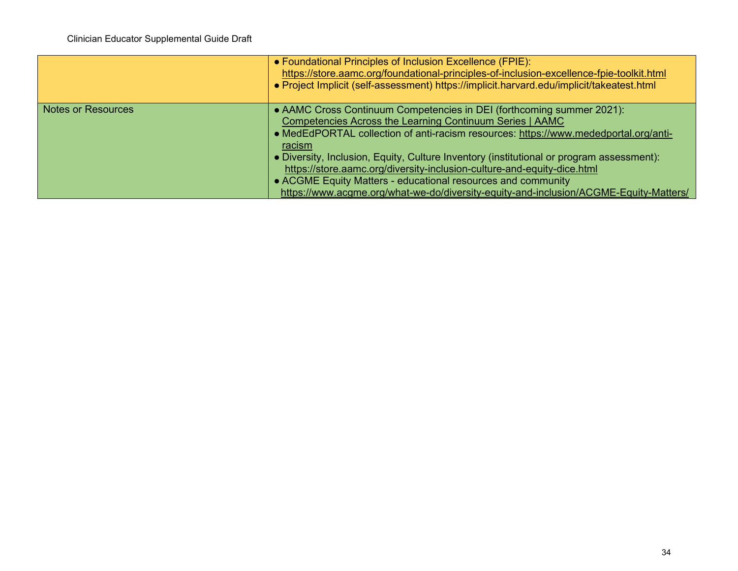|                           | • Foundational Principles of Inclusion Excellence (FPIE):<br>https://store.aamc.org/foundational-principles-of-inclusion-excellence-fpie-toolkit.html<br>. Project Implicit (self-assessment) https://implicit.harvard.edu/implicit/takeatest.html                                                                                                                                                                                                                                                                                                                  |
|---------------------------|---------------------------------------------------------------------------------------------------------------------------------------------------------------------------------------------------------------------------------------------------------------------------------------------------------------------------------------------------------------------------------------------------------------------------------------------------------------------------------------------------------------------------------------------------------------------|
| <b>Notes or Resources</b> | • AAMC Cross Continuum Competencies in DEI (forthcoming summer 2021):<br>Competencies Across the Learning Continuum Series   AAMC<br>• MedEdPORTAL collection of anti-racism resources: https://www.mededportal.org/anti-<br>racism<br>• Diversity, Inclusion, Equity, Culture Inventory (institutional or program assessment):<br>https://store.aamc.org/diversity-inclusion-culture-and-equity-dice.html<br>• ACGME Equity Matters - educational resources and community<br>https://www.acgme.org/what-we-do/diversity-equity-and-inclusion/ACGME-Equity-Matters/ |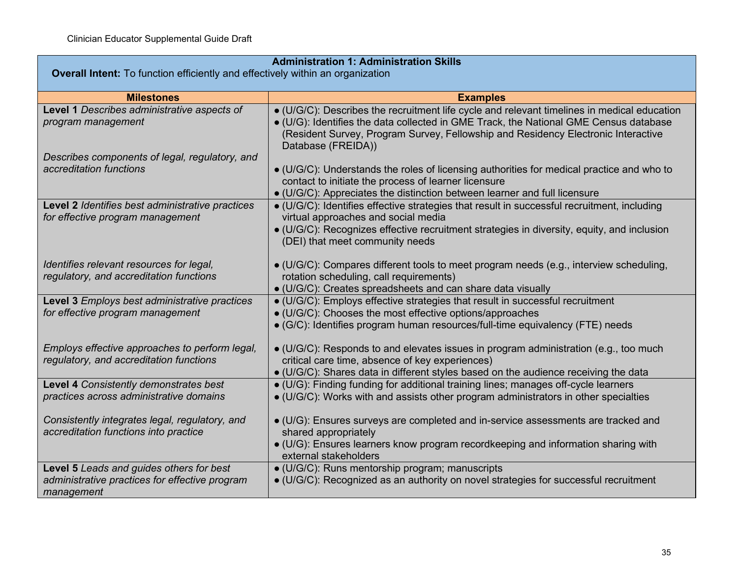|                                                                                                          | <b>Administration 1: Administration Skills</b>                                                                                                                                                                                                                                                  |
|----------------------------------------------------------------------------------------------------------|-------------------------------------------------------------------------------------------------------------------------------------------------------------------------------------------------------------------------------------------------------------------------------------------------|
| <b>Overall Intent:</b> To function efficiently and effectively within an organization                    |                                                                                                                                                                                                                                                                                                 |
| <b>Milestones</b>                                                                                        | <b>Examples</b>                                                                                                                                                                                                                                                                                 |
| Level 1 Describes administrative aspects of<br>program management                                        | • (U/G/C): Describes the recruitment life cycle and relevant timelines in medical education<br>. (U/G): Identifies the data collected in GME Track, the National GME Census database<br>(Resident Survey, Program Survey, Fellowship and Residency Electronic Interactive<br>Database (FREIDA)) |
| Describes components of legal, regulatory, and<br>accreditation functions                                | • (U/G/C): Understands the roles of licensing authorities for medical practice and who to<br>contact to initiate the process of learner licensure<br>• (U/G/C): Appreciates the distinction between learner and full licensure                                                                  |
| Level 2 Identifies best administrative practices<br>for effective program management                     | • (U/G/C): Identifies effective strategies that result in successful recruitment, including<br>virtual approaches and social media<br>· (U/G/C): Recognizes effective recruitment strategies in diversity, equity, and inclusion<br>(DEI) that meet community needs                             |
| Identifies relevant resources for legal,<br>regulatory, and accreditation functions                      | $\bullet$ (U/G/C): Compares different tools to meet program needs (e.g., interview scheduling,<br>rotation scheduling, call requirements)<br>· (U/G/C): Creates spreadsheets and can share data visually                                                                                        |
| Level 3 Employs best administrative practices<br>for effective program management                        | • (U/G/C): Employs effective strategies that result in successful recruitment<br>· (U/G/C): Chooses the most effective options/approaches<br>• (G/C): Identifies program human resources/full-time equivalency (FTE) needs                                                                      |
| Employs effective approaches to perform legal,<br>regulatory, and accreditation functions                | • (U/G/C): Responds to and elevates issues in program administration (e.g., too much<br>critical care time, absence of key experiences)<br>$\bullet$ (U/G/C): Shares data in different styles based on the audience receiving the data                                                          |
| Level 4 Consistently demonstrates best<br>practices across administrative domains                        | • (U/G): Finding funding for additional training lines; manages off-cycle learners<br>• (U/G/C): Works with and assists other program administrators in other specialties                                                                                                                       |
| Consistently integrates legal, regulatory, and<br>accreditation functions into practice                  | · (U/G): Ensures surveys are completed and in-service assessments are tracked and<br>shared appropriately<br>• (U/G): Ensures learners know program recordkeeping and information sharing with<br>external stakeholders                                                                         |
| Level 5 Leads and guides others for best<br>administrative practices for effective program<br>management | · (U/G/C): Runs mentorship program; manuscripts<br>• (U/G/C): Recognized as an authority on novel strategies for successful recruitment                                                                                                                                                         |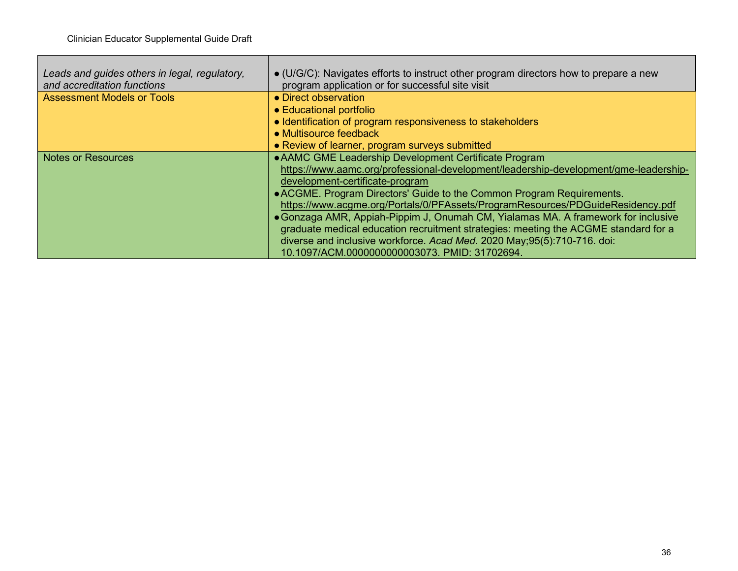г

| Leads and guides others in legal, regulatory,<br>and accreditation functions | $\bullet$ (U/G/C): Navigates efforts to instruct other program directors how to prepare a new<br>program application or for successful site visit |
|------------------------------------------------------------------------------|---------------------------------------------------------------------------------------------------------------------------------------------------|
| <b>Assessment Models or Tools</b>                                            | • Direct observation                                                                                                                              |
|                                                                              | • Educational portfolio                                                                                                                           |
|                                                                              | • Identification of program responsiveness to stakeholders                                                                                        |
|                                                                              | • Multisource feedback                                                                                                                            |
|                                                                              | • Review of learner, program surveys submitted                                                                                                    |
| <b>Notes or Resources</b>                                                    | • AAMC GME Leadership Development Certificate Program                                                                                             |
|                                                                              | https://www.aamc.org/professional-development/leadership-development/gme-leadership-                                                              |
|                                                                              | development-certificate-program                                                                                                                   |
|                                                                              | • ACGME. Program Directors' Guide to the Common Program Requirements.                                                                             |
|                                                                              | https://www.acgme.org/Portals/0/PFAssets/ProgramResources/PDGuideResidency.pdf                                                                    |
|                                                                              | • Gonzaga AMR, Appiah-Pippim J, Onumah CM, Yialamas MA. A framework for inclusive                                                                 |
|                                                                              | graduate medical education recruitment strategies: meeting the ACGME standard for a                                                               |
|                                                                              | diverse and inclusive workforce. Acad Med. 2020 May;95(5):710-716. doi:                                                                           |
|                                                                              | 10.1097/ACM.0000000000003073. PMID: 31702694.                                                                                                     |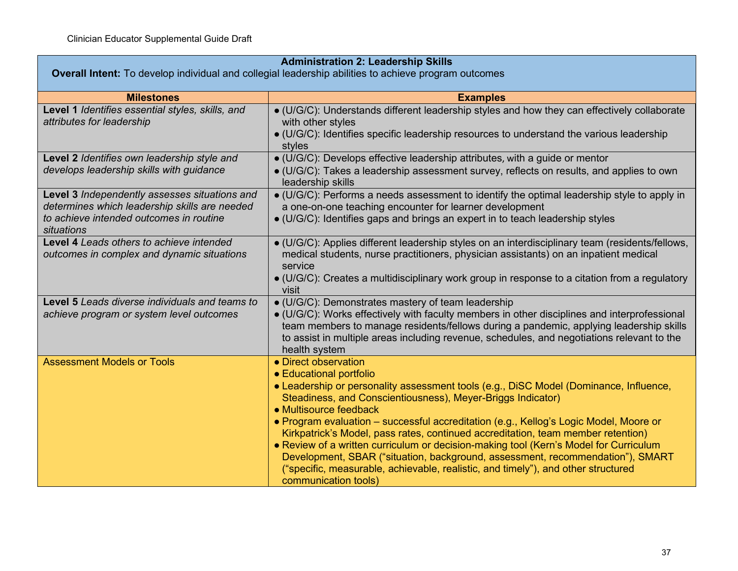| <b>Administration 2: Leadership Skills</b><br>Overall Intent: To develop individual and collegial leadership abilities to achieve program outcomes      |                                                                                                                                                                                                                                                                                                                                                                                                                                                                                                                                                                                                                                                                                                        |
|---------------------------------------------------------------------------------------------------------------------------------------------------------|--------------------------------------------------------------------------------------------------------------------------------------------------------------------------------------------------------------------------------------------------------------------------------------------------------------------------------------------------------------------------------------------------------------------------------------------------------------------------------------------------------------------------------------------------------------------------------------------------------------------------------------------------------------------------------------------------------|
|                                                                                                                                                         |                                                                                                                                                                                                                                                                                                                                                                                                                                                                                                                                                                                                                                                                                                        |
| <b>Milestones</b>                                                                                                                                       | <b>Examples</b>                                                                                                                                                                                                                                                                                                                                                                                                                                                                                                                                                                                                                                                                                        |
| Level 1 Identifies essential styles, skills, and<br>attributes for leadership                                                                           | • (U/G/C): Understands different leadership styles and how they can effectively collaborate<br>with other styles<br>• (U/G/C): Identifies specific leadership resources to understand the various leadership<br>styles                                                                                                                                                                                                                                                                                                                                                                                                                                                                                 |
| Level 2 Identifies own leadership style and                                                                                                             | • (U/G/C): Develops effective leadership attributes, with a guide or mentor                                                                                                                                                                                                                                                                                                                                                                                                                                                                                                                                                                                                                            |
| develops leadership skills with guidance                                                                                                                | • (U/G/C): Takes a leadership assessment survey, reflects on results, and applies to own<br>leadership skills                                                                                                                                                                                                                                                                                                                                                                                                                                                                                                                                                                                          |
| Level 3 Independently assesses situations and<br>determines which leadership skills are needed<br>to achieve intended outcomes in routine<br>situations | · (U/G/C): Performs a needs assessment to identify the optimal leadership style to apply in<br>a one-on-one teaching encounter for learner development<br>• (U/G/C): Identifies gaps and brings an expert in to teach leadership styles                                                                                                                                                                                                                                                                                                                                                                                                                                                                |
| Level 4 Leads others to achieve intended<br>outcomes in complex and dynamic situations                                                                  | • (U/G/C): Applies different leadership styles on an interdisciplinary team (residents/fellows,<br>medical students, nurse practitioners, physician assistants) on an inpatient medical<br>service<br>· (U/G/C): Creates a multidisciplinary work group in response to a citation from a regulatory<br>visit                                                                                                                                                                                                                                                                                                                                                                                           |
| Level 5 Leads diverse individuals and teams to<br>achieve program or system level outcomes                                                              | • (U/G/C): Demonstrates mastery of team leadership<br>• (U/G/C): Works effectively with faculty members in other disciplines and interprofessional<br>team members to manage residents/fellows during a pandemic, applying leadership skills<br>to assist in multiple areas including revenue, schedules, and negotiations relevant to the<br>health system                                                                                                                                                                                                                                                                                                                                            |
| <b>Assessment Models or Tools</b>                                                                                                                       | • Direct observation<br>• Educational portfolio<br>• Leadership or personality assessment tools (e.g., DiSC Model (Dominance, Influence,<br>Steadiness, and Conscientiousness), Meyer-Briggs Indicator)<br>• Multisource feedback<br>• Program evaluation – successful accreditation (e.g., Kellog's Logic Model, Moore or<br>Kirkpatrick's Model, pass rates, continued accreditation, team member retention)<br>• Review of a written curriculum or decision-making tool (Kern's Model for Curriculum<br>Development, SBAR ("situation, background, assessment, recommendation"), SMART<br>("specific, measurable, achievable, realistic, and timely"), and other structured<br>communication tools) |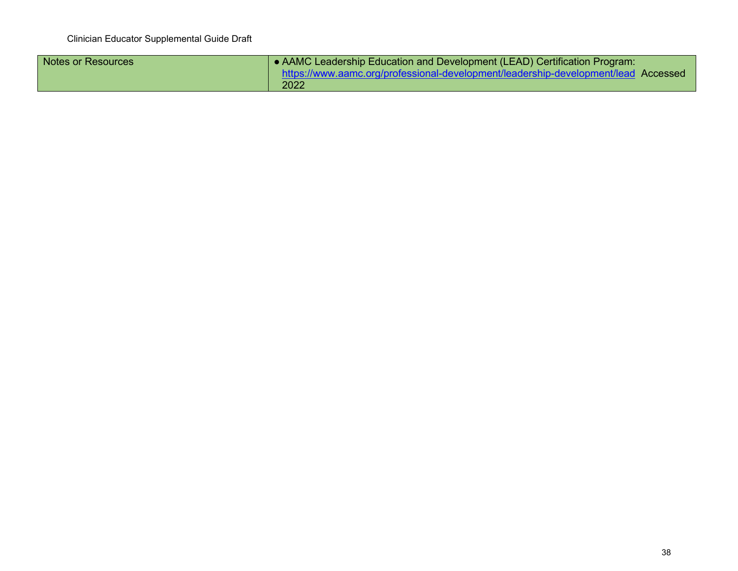| Notes or Resources | AAMC Leadership Education and Development (LEAD) Certification Program:            |
|--------------------|------------------------------------------------------------------------------------|
|                    | https://www.aamc.org/professional-development/leadership-development/lead Accessed |
|                    | 2022                                                                               |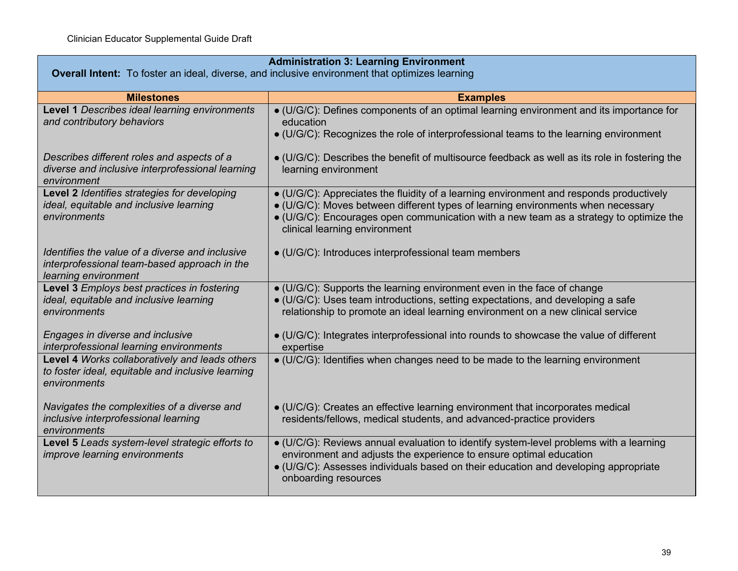| <b>Administration 3: Learning Environment</b>                                                                           |                                                                                                                                                                                                                                                                                                        |  |
|-------------------------------------------------------------------------------------------------------------------------|--------------------------------------------------------------------------------------------------------------------------------------------------------------------------------------------------------------------------------------------------------------------------------------------------------|--|
| <b>Overall Intent:</b> To foster an ideal, diverse, and inclusive environment that optimizes learning                   |                                                                                                                                                                                                                                                                                                        |  |
| <b>Milestones</b>                                                                                                       | <b>Examples</b>                                                                                                                                                                                                                                                                                        |  |
| Level 1 Describes ideal learning environments<br>and contributory behaviors                                             | • (U/G/C): Defines components of an optimal learning environment and its importance for<br>education<br>• (U/G/C): Recognizes the role of interprofessional teams to the learning environment                                                                                                          |  |
| Describes different roles and aspects of a<br>diverse and inclusive interprofessional learning<br>environment           | $\bullet$ (U/G/C): Describes the benefit of multisource feedback as well as its role in fostering the<br>learning environment                                                                                                                                                                          |  |
| Level 2 Identifies strategies for developing<br>ideal, equitable and inclusive learning<br>environments                 | • (U/G/C): Appreciates the fluidity of a learning environment and responds productively<br>• (U/G/C): Moves between different types of learning environments when necessary<br>• (U/G/C): Encourages open communication with a new team as a strategy to optimize the<br>clinical learning environment |  |
| Identifies the value of a diverse and inclusive<br>interprofessional team-based approach in the<br>learning environment | • (U/G/C): Introduces interprofessional team members                                                                                                                                                                                                                                                   |  |
| Level 3 Employs best practices in fostering<br>ideal, equitable and inclusive learning<br>environments                  | • (U/G/C): Supports the learning environment even in the face of change<br>• (U/G/C): Uses team introductions, setting expectations, and developing a safe<br>relationship to promote an ideal learning environment on a new clinical service                                                          |  |
| Engages in diverse and inclusive<br>interprofessional learning environments                                             | • (U/G/C): Integrates interprofessional into rounds to showcase the value of different<br>expertise                                                                                                                                                                                                    |  |
| Level 4 Works collaboratively and leads others<br>to foster ideal, equitable and inclusive learning<br>environments     | • (U/C/G): Identifies when changes need to be made to the learning environment                                                                                                                                                                                                                         |  |
| Navigates the complexities of a diverse and<br>inclusive interprofessional learning<br>environments                     | · (U/C/G): Creates an effective learning environment that incorporates medical<br>residents/fellows, medical students, and advanced-practice providers                                                                                                                                                 |  |
| Level 5 Leads system-level strategic efforts to<br>improve learning environments                                        | · (U/C/G): Reviews annual evaluation to identify system-level problems with a learning<br>environment and adjusts the experience to ensure optimal education<br>· (U/G/C): Assesses individuals based on their education and developing appropriate<br>onboarding resources                            |  |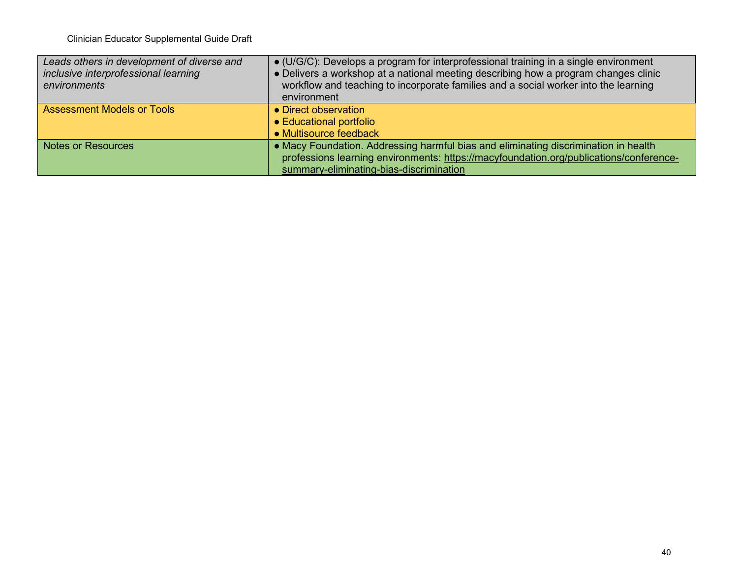| Leads others in development of diverse and<br>inclusive interprofessional learning<br>environments | • (U/G/C): Develops a program for interprofessional training in a single environment<br>• Delivers a workshop at a national meeting describing how a program changes clinic<br>workflow and teaching to incorporate families and a social worker into the learning<br>environment |
|----------------------------------------------------------------------------------------------------|-----------------------------------------------------------------------------------------------------------------------------------------------------------------------------------------------------------------------------------------------------------------------------------|
| <b>Assessment Models or Tools</b>                                                                  | • Direct observation<br>• Educational portfolio<br>• Multisource feedback                                                                                                                                                                                                         |
| <b>Notes or Resources</b>                                                                          | • Macy Foundation. Addressing harmful bias and eliminating discrimination in health<br>professions learning environments: https://macyfoundation.org/publications/conference-<br>summary-eliminating-bias-discrimination                                                          |